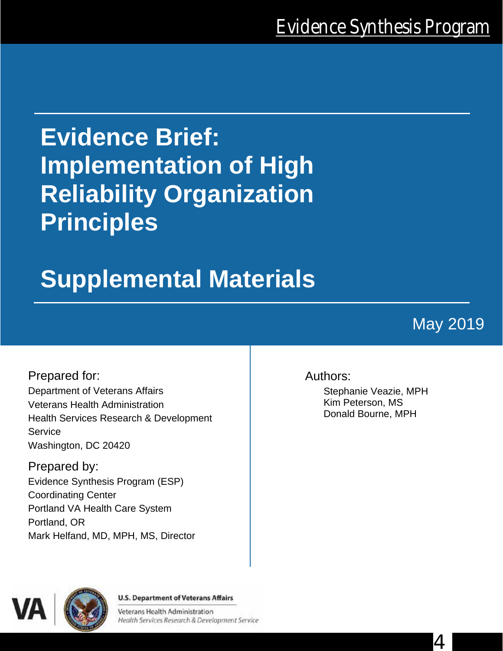# **Evidence Brief: Implementation of High Reliability Organization Principles**

# **Supplemental Materials**

## May 2019

4

Prepared for: Department of Veterans Affairs Veterans Health Administration Health Services Research & Development **Service** Washington, DC 20420

Prepared by: Evidence Synthesis Program (ESP) Coordinating Center Portland VA Health Care System Portland, OR Mark Helfand, MD, MPH, MS, Director

#### Authors:

Stephanie Veazie, MPH Kim Peterson, MS Donald Bourne, MPH



**U.S. Department of Veterans Affairs** 

Veterans Health Administration Health Services Research & Development Service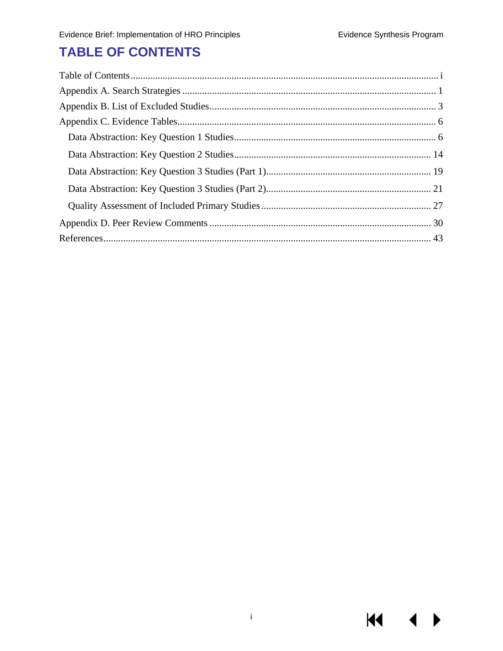**K4** 

## <span id="page-1-0"></span>**TABLE OF CONTENTS**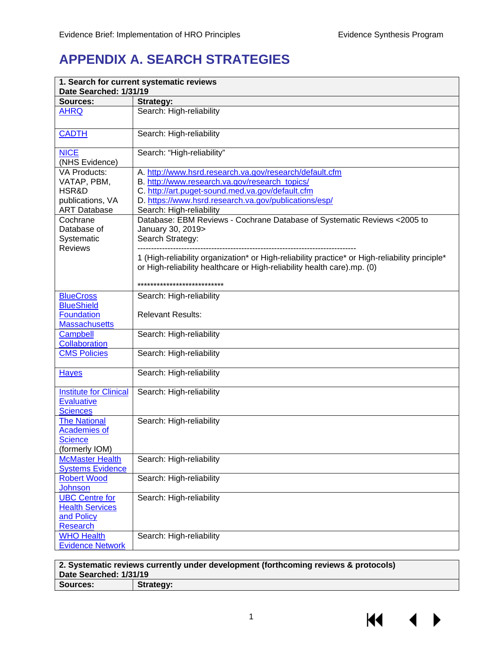## <span id="page-2-0"></span>**APPENDIX A. SEARCH STRATEGIES**

| Date Searched: 1/31/19                                                                 | 1. Search for current systematic reviews                                                                                                                                                                                                           |
|----------------------------------------------------------------------------------------|----------------------------------------------------------------------------------------------------------------------------------------------------------------------------------------------------------------------------------------------------|
| Sources:                                                                               | Strategy:                                                                                                                                                                                                                                          |
| <b>AHRQ</b>                                                                            | Search: High-reliability                                                                                                                                                                                                                           |
| <b>CADTH</b>                                                                           | Search: High-reliability                                                                                                                                                                                                                           |
| <b>NICE</b><br>(NHS Evidence)                                                          | Search: "High-reliability"                                                                                                                                                                                                                         |
| <b>VA Products:</b><br>VATAP, PBM,<br>HSR&D<br>publications, VA<br><b>ART Database</b> | A. http://www.hsrd.research.va.gov/research/default.cfm<br>B. http://www.research.va.gov/research_topics/<br>C. http://art.puget-sound.med.va.gov/default.cfm<br>D. https://www.hsrd.research.va.gov/publications/esp/<br>Search: High-reliability |
| Cochrane<br>Database of<br>Systematic<br><b>Reviews</b>                                | Database: EBM Reviews - Cochrane Database of Systematic Reviews < 2005 to<br>January 30, 2019><br>Search Strategy:                                                                                                                                 |
|                                                                                        | 1 (High-reliability organization* or High-reliability practice* or High-reliability principle*<br>or High-reliability healthcare or High-reliability health care).mp. (0)                                                                          |
|                                                                                        | ****************************                                                                                                                                                                                                                       |
| <b>BlueCross</b><br><b>BlueShield</b><br><b>Foundation</b>                             | Search: High-reliability<br><b>Relevant Results:</b>                                                                                                                                                                                               |
| <b>Massachusetts</b><br><b>Campbell</b><br>Collaboration                               | Search: High-reliability                                                                                                                                                                                                                           |
| <b>CMS Policies</b>                                                                    | Search: High-reliability                                                                                                                                                                                                                           |
| <b>Hayes</b>                                                                           | Search: High-reliability                                                                                                                                                                                                                           |
| <b>Institute for Clinical</b><br><b>Evaluative</b><br><b>Sciences</b>                  | Search: High-reliability                                                                                                                                                                                                                           |
| <b>The National</b><br><b>Academies of</b><br><b>Science</b><br>(formerly IOM)         | Search: High-reliability                                                                                                                                                                                                                           |
| <b>McMaster Health</b><br><b>Systems Evidence</b>                                      | Search: High-reliability                                                                                                                                                                                                                           |
| <b>Robert Wood</b><br><b>Johnson</b>                                                   | Search: High-reliability                                                                                                                                                                                                                           |
| <b>UBC Centre for</b><br><b>Health Services</b><br>and Policy<br>Research              | Search: High-reliability                                                                                                                                                                                                                           |
| <b>WHO Health</b><br><b>Evidence Network</b>                                           | Search: High-reliability                                                                                                                                                                                                                           |

**2. Systematic reviews currently under development (forthcoming reviews & protocols)** Date Searched: 1/31/19<br>Sources: **1998** Stra **Strategy:** 

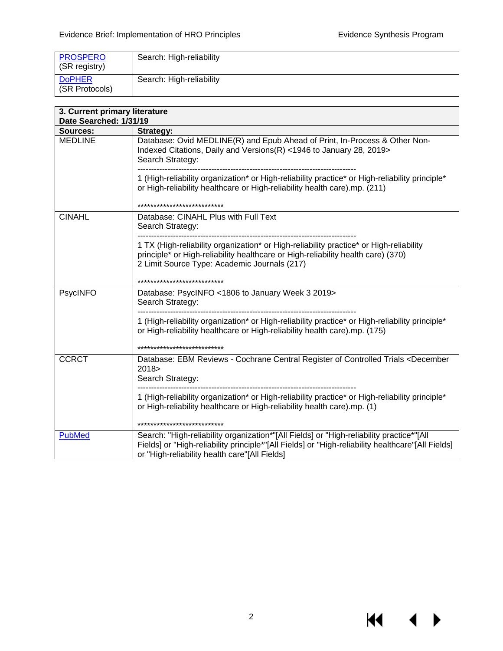$M \cdot 1$ 

 $\blacktriangleright$ 

| <b>PROSPERO</b><br>(SR registry) | Search: High-reliability |
|----------------------------------|--------------------------|
| <b>DoPHER</b><br>(SR Protocols)  | Search: High-reliability |

| 3. Current primary literature<br>Date Searched: 1/31/19 |                                                                                                                                                                                                                                                |  |  |  |
|---------------------------------------------------------|------------------------------------------------------------------------------------------------------------------------------------------------------------------------------------------------------------------------------------------------|--|--|--|
| <b>Sources:</b>                                         | <b>Strategy:</b>                                                                                                                                                                                                                               |  |  |  |
| <b>MEDLINE</b>                                          | Database: Ovid MEDLINE(R) and Epub Ahead of Print, In-Process & Other Non-<br>Indexed Citations, Daily and Versions(R) <1946 to January 28, 2019><br>Search Strategy:                                                                          |  |  |  |
|                                                         | 1 (High-reliability organization* or High-reliability practice* or High-reliability principle*<br>or High-reliability healthcare or High-reliability health care).mp. (211)                                                                    |  |  |  |
|                                                         | ***************************                                                                                                                                                                                                                    |  |  |  |
| <b>CINAHL</b>                                           | Database: CINAHL Plus with Full Text<br>Search Strategy:                                                                                                                                                                                       |  |  |  |
|                                                         | 1 TX (High-reliability organization* or High-reliability practice* or High-reliability<br>principle* or High-reliability healthcare or High-reliability health care) (370)<br>2 Limit Source Type: Academic Journals (217)                     |  |  |  |
|                                                         | ****************************                                                                                                                                                                                                                   |  |  |  |
| PsycINFO                                                | Database: PsycINFO <1806 to January Week 3 2019><br>Search Strategy:                                                                                                                                                                           |  |  |  |
|                                                         | 1 (High-reliability organization* or High-reliability practice* or High-reliability principle*<br>or High-reliability healthcare or High-reliability health care).mp. (175)                                                                    |  |  |  |
|                                                         | ****************************                                                                                                                                                                                                                   |  |  |  |
| <b>CCRCT</b>                                            | Database: EBM Reviews - Cochrane Central Register of Controlled Trials <december<br>2018<br/>Search Strategy:</december<br>                                                                                                                    |  |  |  |
|                                                         | 1 (High-reliability organization* or High-reliability practice* or High-reliability principle*<br>or High-reliability healthcare or High-reliability health care).mp. (1)<br>***************************                                       |  |  |  |
| <b>PubMed</b>                                           | Search: "High-reliability organization*"[All Fields] or "High-reliability practice*"[All<br>Fields] or "High-reliability principle*"[All Fields] or "High-reliability healthcare"[All Fields]<br>or "High-reliability health care"[All Fields] |  |  |  |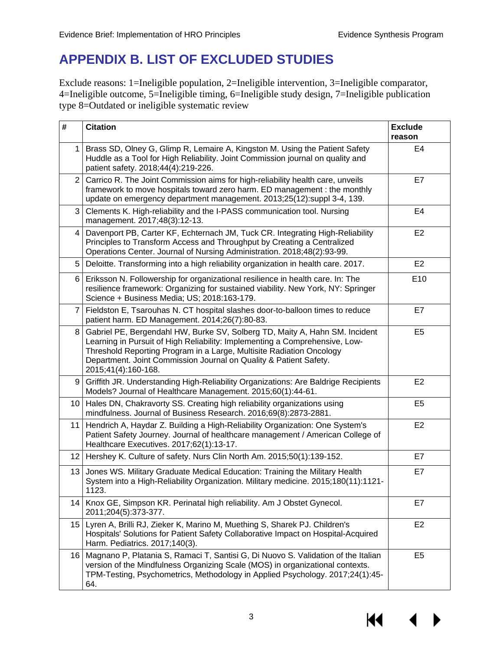## <span id="page-4-0"></span>**APPENDIX B. LIST OF EXCLUDED STUDIES**

Exclude reasons: 1=Ineligible population, 2=Ineligible intervention, 3=Ineligible comparator, 4=Ineligible outcome, 5=Ineligible timing, 6=Ineligible study design, 7=Ineligible publication type 8=Outdated or ineligible systematic review

| $\#$            | <b>Citation</b>                                                                                                                                                                                                                                                                                                                | <b>Exclude</b><br>reason |
|-----------------|--------------------------------------------------------------------------------------------------------------------------------------------------------------------------------------------------------------------------------------------------------------------------------------------------------------------------------|--------------------------|
| 1 <sup>1</sup>  | Brass SD, Olney G, Glimp R, Lemaire A, Kingston M. Using the Patient Safety<br>Huddle as a Tool for High Reliability. Joint Commission journal on quality and<br>patient safety. 2018;44(4):219-226.                                                                                                                           | E4                       |
|                 | 2 Carrico R. The Joint Commission aims for high-reliability health care, unveils<br>framework to move hospitals toward zero harm. ED management : the monthly<br>update on emergency department management. 2013;25(12):suppl 3-4, 139.                                                                                        | E7                       |
| 3               | Clements K. High-reliability and the I-PASS communication tool. Nursing<br>management. 2017;48(3):12-13.                                                                                                                                                                                                                       | E <sub>4</sub>           |
| $\overline{4}$  | Davenport PB, Carter KF, Echternach JM, Tuck CR. Integrating High-Reliability<br>Principles to Transform Access and Throughput by Creating a Centralized<br>Operations Center. Journal of Nursing Administration. 2018;48(2):93-99.                                                                                            | E <sub>2</sub>           |
| 5 <sup>1</sup>  | Deloitte. Transforming into a high reliability organization in health care. 2017.                                                                                                                                                                                                                                              | E <sub>2</sub>           |
|                 | 6   Eriksson N. Followership for organizational resilience in health care. In: The<br>resilience framework: Organizing for sustained viability. New York, NY: Springer<br>Science + Business Media; US; 2018:163-179.                                                                                                          | E10                      |
| $\overline{7}$  | Fieldston E, Tsarouhas N. CT hospital slashes door-to-balloon times to reduce<br>patient harm. ED Management. 2014;26(7):80-83.                                                                                                                                                                                                | E7                       |
| 8               | Gabriel PE, Bergendahl HW, Burke SV, Solberg TD, Maity A, Hahn SM. Incident<br>Learning in Pursuit of High Reliability: Implementing a Comprehensive, Low-<br>Threshold Reporting Program in a Large, Multisite Radiation Oncology<br>Department. Joint Commission Journal on Quality & Patient Safety.<br>2015;41(4):160-168. | E <sub>5</sub>           |
| 9               | Griffith JR. Understanding High-Reliability Organizations: Are Baldrige Recipients<br>Models? Journal of Healthcare Management. 2015;60(1):44-61.                                                                                                                                                                              | E <sub>2</sub>           |
| 10              | Hales DN, Chakravorty SS. Creating high reliability organizations using<br>mindfulness. Journal of Business Research. 2016;69(8):2873-2881.                                                                                                                                                                                    | E <sub>5</sub>           |
|                 | 11   Hendrich A, Haydar Z. Building a High-Reliability Organization: One System's<br>Patient Safety Journey. Journal of healthcare management / American College of<br>Healthcare Executives. 2017;62(1):13-17.                                                                                                                | E2                       |
|                 | 12 Hershey K. Culture of safety. Nurs Clin North Am. 2015;50(1):139-152.                                                                                                                                                                                                                                                       | E7                       |
| 13              | Jones WS. Military Graduate Medical Education: Training the Military Health<br>System into a High-Reliability Organization. Military medicine. 2015;180(11):1121-<br>1123.                                                                                                                                                     | E7                       |
| 14 <sup>1</sup> | Knox GE, Simpson KR. Perinatal high reliability. Am J Obstet Gynecol.<br>2011;204(5):373-377.                                                                                                                                                                                                                                  | E7                       |
|                 | 15 Lyren A, Brilli RJ, Zieker K, Marino M, Muething S, Sharek PJ. Children's<br>Hospitals' Solutions for Patient Safety Collaborative Impact on Hospital-Acquired<br>Harm. Pediatrics. 2017;140(3).                                                                                                                            | E <sub>2</sub>           |
|                 | 16   Magnano P, Platania S, Ramaci T, Santisi G, Di Nuovo S. Validation of the Italian<br>version of the Mindfulness Organizing Scale (MOS) in organizational contexts.<br>TPM-Testing, Psychometrics, Methodology in Applied Psychology. 2017;24(1):45-<br>64.                                                                | E <sub>5</sub>           |

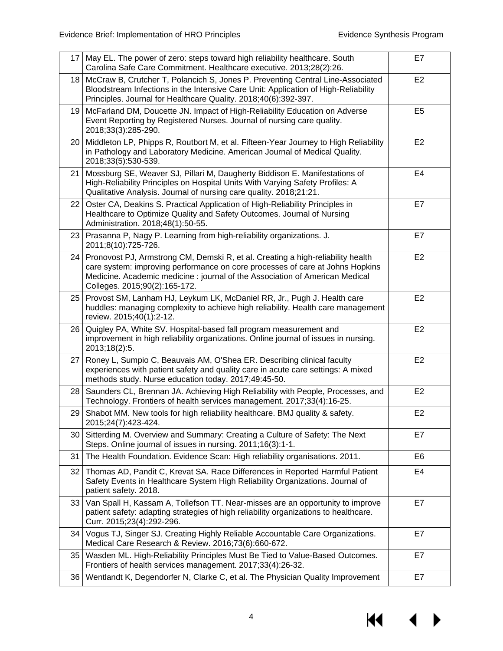| 17 | May EL. The power of zero: steps toward high reliability healthcare. South<br>Carolina Safe Care Commitment. Healthcare executive. 2013;28(2):26.                                                                                                                                    | E7             |
|----|--------------------------------------------------------------------------------------------------------------------------------------------------------------------------------------------------------------------------------------------------------------------------------------|----------------|
|    | 18 McCraw B, Crutcher T, Polancich S, Jones P. Preventing Central Line-Associated<br>Bloodstream Infections in the Intensive Care Unit: Application of High-Reliability<br>Principles. Journal for Healthcare Quality. 2018;40(6):392-397.                                           | E <sub>2</sub> |
| 19 | McFarland DM, Doucette JN. Impact of High-Reliability Education on Adverse<br>Event Reporting by Registered Nurses. Journal of nursing care quality.<br>2018;33(3):285-290.                                                                                                          | E <sub>5</sub> |
| 20 | Middleton LP, Phipps R, Routbort M, et al. Fifteen-Year Journey to High Reliability<br>in Pathology and Laboratory Medicine. American Journal of Medical Quality.<br>2018;33(5):530-539.                                                                                             | E <sub>2</sub> |
| 21 | Mossburg SE, Weaver SJ, Pillari M, Daugherty Biddison E. Manifestations of<br>High-Reliability Principles on Hospital Units With Varying Safety Profiles: A<br>Qualitative Analysis. Journal of nursing care quality. 2018;21:21.                                                    | E <sub>4</sub> |
| 22 | Oster CA, Deakins S. Practical Application of High-Reliability Principles in<br>Healthcare to Optimize Quality and Safety Outcomes. Journal of Nursing<br>Administration. 2018;48(1):50-55.                                                                                          | E7             |
|    | 23   Prasanna P, Nagy P. Learning from high-reliability organizations. J.<br>2011;8(10):725-726.                                                                                                                                                                                     | E7             |
|    | 24 Pronovost PJ, Armstrong CM, Demski R, et al. Creating a high-reliability health<br>care system: improving performance on core processes of care at Johns Hopkins<br>Medicine. Academic medicine : journal of the Association of American Medical<br>Colleges. 2015;90(2):165-172. | E <sub>2</sub> |
| 25 | Provost SM, Lanham HJ, Leykum LK, McDaniel RR, Jr., Pugh J. Health care<br>huddles: managing complexity to achieve high reliability. Health care management<br>review. 2015;40(1):2-12.                                                                                              | E <sub>2</sub> |
| 26 | Quigley PA, White SV. Hospital-based fall program measurement and<br>improvement in high reliability organizations. Online journal of issues in nursing.<br>2013;18(2):5.                                                                                                            | E <sub>2</sub> |
| 27 | Roney L, Sumpio C, Beauvais AM, O'Shea ER. Describing clinical faculty<br>experiences with patient safety and quality care in acute care settings: A mixed<br>methods study. Nurse education today. 2017;49:45-50.                                                                   | E <sub>2</sub> |
| 28 | Saunders CL, Brennan JA. Achieving High Reliability with People, Processes, and<br>Technology. Frontiers of health services management. 2017;33(4):16-25.                                                                                                                            | E <sub>2</sub> |
|    | 29 Shabot MM. New tools for high reliability healthcare. BMJ quality & safety.<br>2015;24(7):423-424.                                                                                                                                                                                | E <sub>2</sub> |
| 30 | Sitterding M. Overview and Summary: Creating a Culture of Safety: The Next<br>Steps. Online journal of issues in nursing. 2011;16(3):1-1.                                                                                                                                            | E7             |
| 31 | The Health Foundation. Evidence Scan: High reliability organisations. 2011.                                                                                                                                                                                                          | E <sub>6</sub> |
| 32 | Thomas AD, Pandit C, Krevat SA. Race Differences in Reported Harmful Patient<br>Safety Events in Healthcare System High Reliability Organizations. Journal of<br>patient safety. 2018.                                                                                               | E4             |
| 33 | Van Spall H, Kassam A, Tollefson TT. Near-misses are an opportunity to improve<br>patient safety: adapting strategies of high reliability organizations to healthcare.<br>Curr. 2015;23(4):292-296.                                                                                  | E7             |
| 34 | Vogus TJ, Singer SJ. Creating Highly Reliable Accountable Care Organizations.<br>Medical Care Research & Review. 2016;73(6):660-672.                                                                                                                                                 | E7             |
| 35 | Wasden ML. High-Reliability Principles Must Be Tied to Value-Based Outcomes.<br>Frontiers of health services management. 2017;33(4):26-32.                                                                                                                                           | E7             |
| 36 | Wentlandt K, Degendorfer N, Clarke C, et al. The Physician Quality Improvement                                                                                                                                                                                                       | E7             |

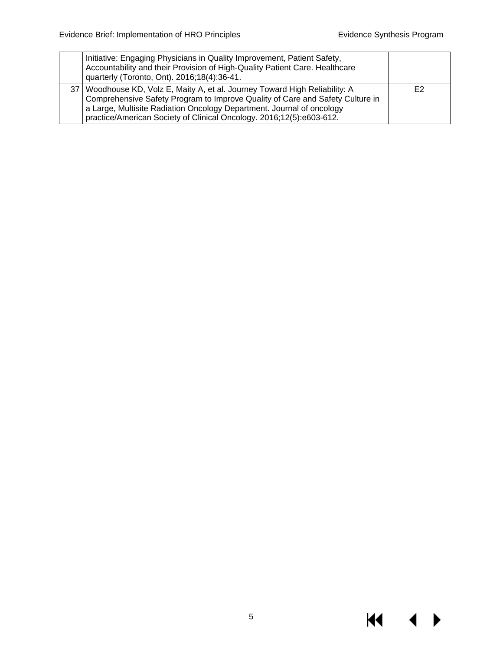$M \rightarrow$ 

| Initiative: Engaging Physicians in Quality Improvement, Patient Safety,<br>Accountability and their Provision of High-Quality Patient Care. Healthcare<br>quarterly (Toronto, Ont). 2016;18(4):36-41.                                                                                                           |    |
|-----------------------------------------------------------------------------------------------------------------------------------------------------------------------------------------------------------------------------------------------------------------------------------------------------------------|----|
| 37   Woodhouse KD, Volz E, Maity A, et al. Journey Toward High Reliability: A<br>Comprehensive Safety Program to Improve Quality of Care and Safety Culture in<br>a Large, Multisite Radiation Oncology Department. Journal of oncology<br>practice/American Society of Clinical Oncology. 2016;12(5):e603-612. | E2 |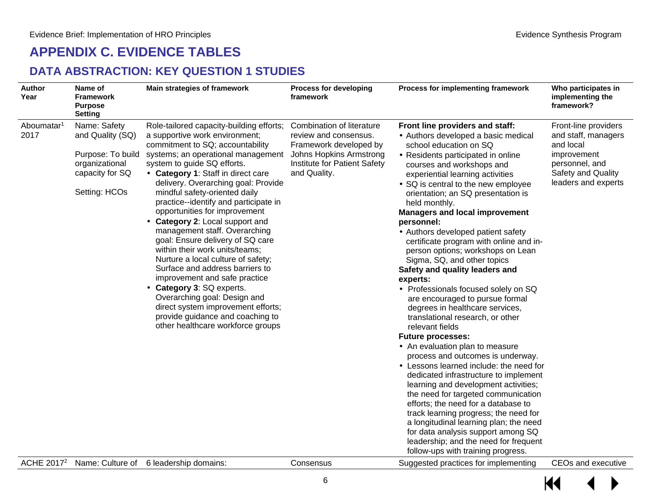## **APPENDIX C. EVIDENCE TABLES**

#### **DATA ABSTRACTION: KEY QUESTION 1 STUDIES**

<span id="page-7-1"></span><span id="page-7-0"></span>

| <b>Author</b><br>Year          | Name of<br><b>Framework</b><br><b>Purpose</b><br><b>Setting</b>                                             | Main strategies of framework                                                                                                                                                                                                                                                                                                                                                                                                                                                                                                                                                                                                                                                                                                                                                                          | <b>Process for developing</b><br>framework                                                                                                              | Process for implementing framework                                                                                                                                                                                                                                                                                                                                                                                                                                                                                                                                                                                                                                                                                                                                                                                                                                                                                                                                                                                                                                                                                                                                                                                                                 | Who participates in<br>implementing the<br>framework?                                                                                  |
|--------------------------------|-------------------------------------------------------------------------------------------------------------|-------------------------------------------------------------------------------------------------------------------------------------------------------------------------------------------------------------------------------------------------------------------------------------------------------------------------------------------------------------------------------------------------------------------------------------------------------------------------------------------------------------------------------------------------------------------------------------------------------------------------------------------------------------------------------------------------------------------------------------------------------------------------------------------------------|---------------------------------------------------------------------------------------------------------------------------------------------------------|----------------------------------------------------------------------------------------------------------------------------------------------------------------------------------------------------------------------------------------------------------------------------------------------------------------------------------------------------------------------------------------------------------------------------------------------------------------------------------------------------------------------------------------------------------------------------------------------------------------------------------------------------------------------------------------------------------------------------------------------------------------------------------------------------------------------------------------------------------------------------------------------------------------------------------------------------------------------------------------------------------------------------------------------------------------------------------------------------------------------------------------------------------------------------------------------------------------------------------------------------|----------------------------------------------------------------------------------------------------------------------------------------|
| Aboumatar <sup>1</sup><br>2017 | Name: Safety<br>and Quality (SQ)<br>Purpose: To build<br>organizational<br>capacity for SQ<br>Setting: HCOs | Role-tailored capacity-building efforts;<br>a supportive work environment;<br>commitment to SQ; accountability<br>systems; an operational management<br>system to guide SQ efforts.<br>Category 1: Staff in direct care<br>delivery. Overarching goal: Provide<br>mindful safety-oriented daily<br>practice--identify and participate in<br>opportunities for improvement<br>Category 2: Local support and<br>management staff. Overarching<br>goal: Ensure delivery of SQ care<br>within their work units/teams;<br>Nurture a local culture of safety;<br>Surface and address barriers to<br>improvement and safe practice<br>Category 3: SQ experts.<br>Overarching goal: Design and<br>direct system improvement efforts;<br>provide guidance and coaching to<br>other healthcare workforce groups | Combination of literature<br>review and consensus.<br>Framework developed by<br>Johns Hopkins Armstrong<br>Institute for Patient Safety<br>and Quality. | Front line providers and staff:<br>· Authors developed a basic medical<br>school education on SQ<br>· Residents participated in online<br>courses and workshops and<br>experiential learning activities<br>SQ is central to the new employee<br>orientation; an SQ presentation is<br>held monthly.<br><b>Managers and local improvement</b><br>personnel:<br>· Authors developed patient safety<br>certificate program with online and in-<br>person options; workshops on Lean<br>Sigma, SQ, and other topics<br>Safety and quality leaders and<br>experts:<br>Professionals focused solely on SQ<br>are encouraged to pursue formal<br>degrees in healthcare services,<br>translational research, or other<br>relevant fields<br><b>Future processes:</b><br>An evaluation plan to measure<br>process and outcomes is underway.<br>Lessons learned include: the need for<br>dedicated infrastructure to implement<br>learning and development activities;<br>the need for targeted communication<br>efforts; the need for a database to<br>track learning progress; the need for<br>a longitudinal learning plan; the need<br>for data analysis support among SQ<br>leadership; and the need for frequent<br>follow-ups with training progress. | Front-line providers<br>and staff, managers<br>and local<br>improvement<br>personnel, and<br>Safety and Quality<br>leaders and experts |
| ACHE 2017 <sup>2</sup>         |                                                                                                             | Name: Culture of 6 leadership domains:                                                                                                                                                                                                                                                                                                                                                                                                                                                                                                                                                                                                                                                                                                                                                                | Consensus                                                                                                                                               | Suggested practices for implementing                                                                                                                                                                                                                                                                                                                                                                                                                                                                                                                                                                                                                                                                                                                                                                                                                                                                                                                                                                                                                                                                                                                                                                                                               | <b>CEOs and executive</b>                                                                                                              |

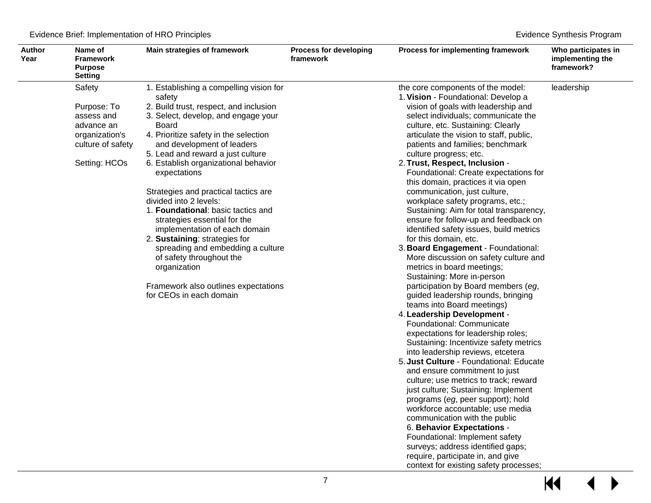| Process for implementing framework<br>implementing the<br>framework?                                                                                                                                                                                                                                                                                                                                                                                                                                                                                                                                                                                                                                                                                                                                                                                                                                                                                                                                                                                                                                                                                                                                                                                                                                                                                                                                                                                                                                                   | Who participates in                    |
|------------------------------------------------------------------------------------------------------------------------------------------------------------------------------------------------------------------------------------------------------------------------------------------------------------------------------------------------------------------------------------------------------------------------------------------------------------------------------------------------------------------------------------------------------------------------------------------------------------------------------------------------------------------------------------------------------------------------------------------------------------------------------------------------------------------------------------------------------------------------------------------------------------------------------------------------------------------------------------------------------------------------------------------------------------------------------------------------------------------------------------------------------------------------------------------------------------------------------------------------------------------------------------------------------------------------------------------------------------------------------------------------------------------------------------------------------------------------------------------------------------------------|----------------------------------------|
| the core components of the model:<br>leadership<br>1. Vision - Foundational: Develop a<br>vision of goals with leadership and<br>select individuals; communicate the<br>culture, etc. Sustaining: Clearly<br>articulate the vision to staff, public,<br>patients and families; benchmark<br>culture progress; etc.<br>2. Trust, Respect, Inclusion -<br>Foundational: Create expectations for<br>this domain, practices it via open<br>communication, just culture,<br>workplace safety programs, etc.;<br>Sustaining: Aim for total transparency,<br>ensure for follow-up and feedback on<br>identified safety issues, build metrics<br>for this domain, etc.<br>3. Board Engagement - Foundational:<br>More discussion on safety culture and<br>metrics in board meetings;<br>Sustaining: More in-person<br>participation by Board members (eg,<br>guided leadership rounds, bringing<br>teams into Board meetings)<br>4. Leadership Development -<br>Foundational: Communicate<br>expectations for leadership roles;<br>Sustaining: Incentivize safety metrics<br>into leadership reviews, etcetera<br>5. Just Culture - Foundational: Educate<br>and ensure commitment to just<br>culture; use metrics to track; reward<br>just culture; Sustaining: Implement<br>programs (eg, peer support); hold<br>workforce accountable; use media<br>communication with the public<br>6. Behavior Expectations -<br>Foundational: Implement safety<br>surveys; address identified gaps;<br>require, participate in, and give |                                        |
|                                                                                                                                                                                                                                                                                                                                                                                                                                                                                                                                                                                                                                                                                                                                                                                                                                                                                                                                                                                                                                                                                                                                                                                                                                                                                                                                                                                                                                                                                                                        | context for existing safety processes; |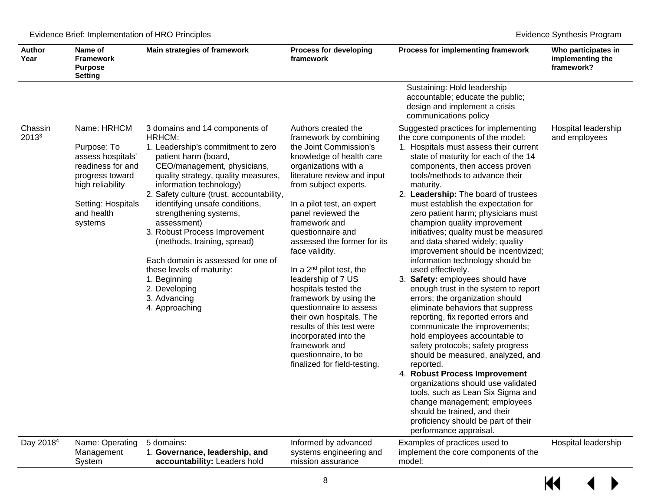| <b>Author</b><br>Year | Name of<br>Framework<br><b>Purpose</b><br><b>Setting</b>                                                                                                   | Main strategies of framework                                                                                                                                                                                                                                                                                                                                                                                                                                                                                                          | <b>Process for developing</b><br>framework                                                                                                                                                                                                                                                                                                                                                                                                                                                                                                                                                                                    | Process for implementing framework                                                                                                                                                                                                                                                                                                                                                                                                                                                                                                                                                                                                                                                                                                                                                                                                                                                                                                                                                                                                                                                                                                                                           | Who participates in<br>implementing the<br>framework? |
|-----------------------|------------------------------------------------------------------------------------------------------------------------------------------------------------|---------------------------------------------------------------------------------------------------------------------------------------------------------------------------------------------------------------------------------------------------------------------------------------------------------------------------------------------------------------------------------------------------------------------------------------------------------------------------------------------------------------------------------------|-------------------------------------------------------------------------------------------------------------------------------------------------------------------------------------------------------------------------------------------------------------------------------------------------------------------------------------------------------------------------------------------------------------------------------------------------------------------------------------------------------------------------------------------------------------------------------------------------------------------------------|------------------------------------------------------------------------------------------------------------------------------------------------------------------------------------------------------------------------------------------------------------------------------------------------------------------------------------------------------------------------------------------------------------------------------------------------------------------------------------------------------------------------------------------------------------------------------------------------------------------------------------------------------------------------------------------------------------------------------------------------------------------------------------------------------------------------------------------------------------------------------------------------------------------------------------------------------------------------------------------------------------------------------------------------------------------------------------------------------------------------------------------------------------------------------|-------------------------------------------------------|
|                       |                                                                                                                                                            |                                                                                                                                                                                                                                                                                                                                                                                                                                                                                                                                       |                                                                                                                                                                                                                                                                                                                                                                                                                                                                                                                                                                                                                               | Sustaining: Hold leadership<br>accountable; educate the public;<br>design and implement a crisis<br>communications policy                                                                                                                                                                                                                                                                                                                                                                                                                                                                                                                                                                                                                                                                                                                                                                                                                                                                                                                                                                                                                                                    |                                                       |
| Chassin<br>20133      | Name: HRHCM<br>Purpose: To<br>assess hospitals'<br>readiness for and<br>progress toward<br>high reliability<br>Setting: Hospitals<br>and health<br>systems | 3 domains and 14 components of<br>HRHCM:<br>1. Leadership's commitment to zero<br>patient harm (board,<br>CEO/management, physicians,<br>quality strategy, quality measures,<br>information technology)<br>2. Safety culture (trust, accountability,<br>identifying unsafe conditions,<br>strengthening systems,<br>assessment)<br>3. Robust Process Improvement<br>(methods, training, spread)<br>Each domain is assessed for one of<br>these levels of maturity:<br>1. Beginning<br>2. Developing<br>3. Advancing<br>4. Approaching | Authors created the<br>framework by combining<br>the Joint Commission's<br>knowledge of health care<br>organizations with a<br>literature review and input<br>from subject experts.<br>In a pilot test, an expert<br>panel reviewed the<br>framework and<br>questionnaire and<br>assessed the former for its<br>face validity.<br>In a $2^{nd}$ pilot test, the<br>leadership of 7 US<br>hospitals tested the<br>framework by using the<br>questionnaire to assess<br>their own hospitals. The<br>results of this test were<br>incorporated into the<br>framework and<br>questionnaire, to be<br>finalized for field-testing. | Suggested practices for implementing<br>the core components of the model:<br>1. Hospitals must assess their current<br>state of maturity for each of the 14<br>components, then access proven<br>tools/methods to advance their<br>maturity.<br>2. Leadership: The board of trustees<br>must establish the expectation for<br>zero patient harm; physicians must<br>champion quality improvement<br>initiatives; quality must be measured<br>and data shared widely; quality<br>improvement should be incentivized;<br>information technology should be<br>used effectively.<br>3. Safety: employees should have<br>enough trust in the system to report<br>errors; the organization should<br>eliminate behaviors that suppress<br>reporting, fix reported errors and<br>communicate the improvements;<br>hold employees accountable to<br>safety protocols; safety progress<br>should be measured, analyzed, and<br>reported.<br>4. Robust Process Improvement<br>organizations should use validated<br>tools, such as Lean Six Sigma and<br>change management; employees<br>should be trained, and their<br>proficiency should be part of their<br>performance appraisal. | Hospital leadership<br>and employees                  |
| Day 2018 <sup>4</sup> | Name: Operating<br>Management<br>System                                                                                                                    | 5 domains:<br>1. Governance, leadership, and<br>accountability: Leaders hold                                                                                                                                                                                                                                                                                                                                                                                                                                                          | Informed by advanced<br>systems engineering and<br>mission assurance                                                                                                                                                                                                                                                                                                                                                                                                                                                                                                                                                          | Examples of practices used to<br>implement the core components of the<br>model:                                                                                                                                                                                                                                                                                                                                                                                                                                                                                                                                                                                                                                                                                                                                                                                                                                                                                                                                                                                                                                                                                              | Hospital leadership                                   |

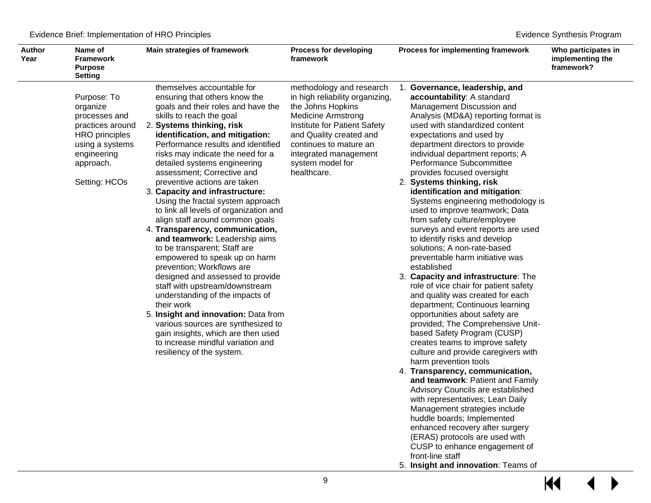| <b>Author</b><br>Year | Name of<br><b>Framework</b><br><b>Purpose</b><br><b>Setting</b>                                                                                       | Main strategies of framework                                                                                                                                                                                                                                                                                                                                                                                                                                                                                                                                                                                                                                                                                                                                                                                                                                                                                                                                                                               | <b>Process for developing</b><br>framework                                                                                                                                                                                                                     | Process for implementing framework                                                                                                                                                                                                                                                                                                                                                                                                                                                                                                                                                                                                                                                                                                                                                                                                                                                                                                                                                                                                                                                                                                                                                                                                                                                                                                                                      | Who participates in<br>implementing the<br>framework? |
|-----------------------|-------------------------------------------------------------------------------------------------------------------------------------------------------|------------------------------------------------------------------------------------------------------------------------------------------------------------------------------------------------------------------------------------------------------------------------------------------------------------------------------------------------------------------------------------------------------------------------------------------------------------------------------------------------------------------------------------------------------------------------------------------------------------------------------------------------------------------------------------------------------------------------------------------------------------------------------------------------------------------------------------------------------------------------------------------------------------------------------------------------------------------------------------------------------------|----------------------------------------------------------------------------------------------------------------------------------------------------------------------------------------------------------------------------------------------------------------|-------------------------------------------------------------------------------------------------------------------------------------------------------------------------------------------------------------------------------------------------------------------------------------------------------------------------------------------------------------------------------------------------------------------------------------------------------------------------------------------------------------------------------------------------------------------------------------------------------------------------------------------------------------------------------------------------------------------------------------------------------------------------------------------------------------------------------------------------------------------------------------------------------------------------------------------------------------------------------------------------------------------------------------------------------------------------------------------------------------------------------------------------------------------------------------------------------------------------------------------------------------------------------------------------------------------------------------------------------------------------|-------------------------------------------------------|
|                       | Purpose: To<br>organize<br>processes and<br>practices around<br><b>HRO</b> principles<br>using a systems<br>engineering<br>approach.<br>Setting: HCOs | themselves accountable for<br>ensuring that others know the<br>goals and their roles and have the<br>skills to reach the goal<br>2. Systems thinking, risk<br>identification, and mitigation:<br>Performance results and identified<br>risks may indicate the need for a<br>detailed systems engineering<br>assessment; Corrective and<br>preventive actions are taken<br>3. Capacity and infrastructure:<br>Using the fractal system approach<br>to link all levels of organization and<br>align staff around common goals<br>4. Transparency, communication,<br>and teamwork: Leadership aims<br>to be transparent; Staff are<br>empowered to speak up on harm<br>prevention; Workflows are<br>designed and assessed to provide<br>staff with upstream/downstream<br>understanding of the impacts of<br>their work<br>5. Insight and innovation: Data from<br>various sources are synthesized to<br>gain insights, which are then used<br>to increase mindful variation and<br>resiliency of the system. | methodology and research<br>in high reliability organizing,<br>the Johns Hopkins<br><b>Medicine Armstrong</b><br>Institute for Patient Safety<br>and Quality created and<br>continues to mature an<br>integrated management<br>system model for<br>healthcare. | 1. Governance, leadership, and<br>accountability: A standard<br>Management Discussion and<br>Analysis (MD&A) reporting format is<br>used with standardized content<br>expectations and used by<br>department directors to provide<br>individual department reports; A<br>Performance Subcommittee<br>provides focused oversight<br>2. Systems thinking, risk<br>identification and mitigation:<br>Systems engineering methodology is<br>used to improve teamwork; Data<br>from safety culture/employee<br>surveys and event reports are used<br>to identify risks and develop<br>solutions; A non-rate-based<br>preventable harm initiative was<br>established<br>3. Capacity and infrastructure: The<br>role of vice chair for patient safety<br>and quality was created for each<br>department; Continuous learning<br>opportunities about safety are<br>provided; The Comprehensive Unit-<br>based Safety Program (CUSP)<br>creates teams to improve safety<br>culture and provide caregivers with<br>harm prevention tools<br>4. Transparency, communication,<br>and teamwork: Patient and Family<br>Advisory Councils are established<br>with representatives; Lean Daily<br>Management strategies include<br>huddle boards; Implemented<br>enhanced recovery after surgery<br>(ERAS) protocols are used with<br>CUSP to enhance engagement of<br>front-line staff |                                                       |

5. **Insight and innovation**: Teams of

 $\overline{\mathbf{M}}$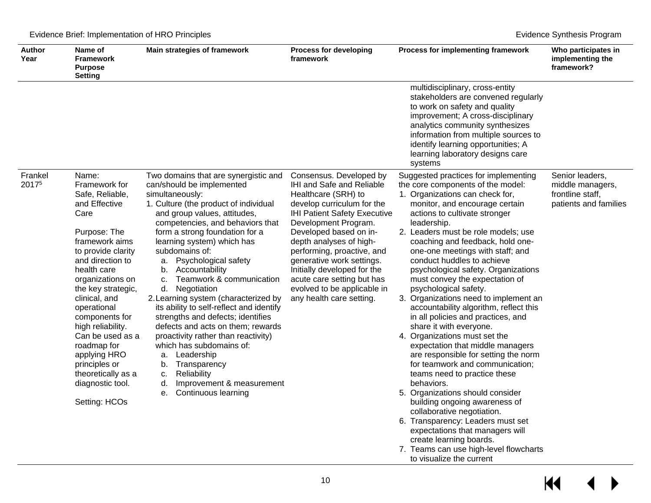| <b>Author</b><br>Year | Name of<br><b>Framework</b><br><b>Purpose</b><br><b>Setting</b>                                                                                                                                                                                                                                                                                                                                               | Main strategies of framework                                                                                                                                                                                                                                                                                                                                                                                                                                                                                                                                                                                                                                                                                                                                         | <b>Process for developing</b><br>framework                                                                                                                                                                                                                                                                                                                                                                       | Process for implementing framework                                                                                                                                                                                                                                                                                                                                                                                                                                                                                                                                                                                                                                                                                                                                                                                                                                                                                                                                                                                                                                          | Who participates in<br>implementing the<br>framework?                            |
|-----------------------|---------------------------------------------------------------------------------------------------------------------------------------------------------------------------------------------------------------------------------------------------------------------------------------------------------------------------------------------------------------------------------------------------------------|----------------------------------------------------------------------------------------------------------------------------------------------------------------------------------------------------------------------------------------------------------------------------------------------------------------------------------------------------------------------------------------------------------------------------------------------------------------------------------------------------------------------------------------------------------------------------------------------------------------------------------------------------------------------------------------------------------------------------------------------------------------------|------------------------------------------------------------------------------------------------------------------------------------------------------------------------------------------------------------------------------------------------------------------------------------------------------------------------------------------------------------------------------------------------------------------|-----------------------------------------------------------------------------------------------------------------------------------------------------------------------------------------------------------------------------------------------------------------------------------------------------------------------------------------------------------------------------------------------------------------------------------------------------------------------------------------------------------------------------------------------------------------------------------------------------------------------------------------------------------------------------------------------------------------------------------------------------------------------------------------------------------------------------------------------------------------------------------------------------------------------------------------------------------------------------------------------------------------------------------------------------------------------------|----------------------------------------------------------------------------------|
|                       |                                                                                                                                                                                                                                                                                                                                                                                                               |                                                                                                                                                                                                                                                                                                                                                                                                                                                                                                                                                                                                                                                                                                                                                                      |                                                                                                                                                                                                                                                                                                                                                                                                                  | multidisciplinary, cross-entity<br>stakeholders are convened regularly<br>to work on safety and quality<br>improvement; A cross-disciplinary<br>analytics community synthesizes<br>information from multiple sources to<br>identify learning opportunities; A<br>learning laboratory designs care<br>systems                                                                                                                                                                                                                                                                                                                                                                                                                                                                                                                                                                                                                                                                                                                                                                |                                                                                  |
| Frankel<br>20175      | Name:<br>Framework for<br>Safe, Reliable,<br>and Effective<br>Care<br>Purpose: The<br>framework aims<br>to provide clarity<br>and direction to<br>health care<br>organizations on<br>the key strategic,<br>clinical, and<br>operational<br>components for<br>high reliability.<br>Can be used as a<br>roadmap for<br>applying HRO<br>principles or<br>theoretically as a<br>diagnostic tool.<br>Setting: HCOs | Two domains that are synergistic and<br>can/should be implemented<br>simultaneously:<br>1. Culture (the product of individual<br>and group values, attitudes,<br>competencies, and behaviors that<br>form a strong foundation for a<br>learning system) which has<br>subdomains of:<br>Psychological safety<br>a.<br>Accountability<br>b.<br>Teamwork & communication<br>c.<br>d. Negotiation<br>2. Learning system (characterized by<br>its ability to self-reflect and identify<br>strengths and defects; identifies<br>defects and acts on them; rewards<br>proactivity rather than reactivity)<br>which has subdomains of:<br>Leadership<br>a.<br>Transparency<br>b.<br>Reliability<br>c.<br>Improvement & measurement<br>d.<br><b>Continuous learning</b><br>е. | Consensus. Developed by<br>IHI and Safe and Reliable<br>Healthcare (SRH) to<br>develop curriculum for the<br><b>IHI Patient Safety Executive</b><br>Development Program.<br>Developed based on in-<br>depth analyses of high-<br>performing, proactive, and<br>generative work settings.<br>Initially developed for the<br>acute care setting but has<br>evolved to be applicable in<br>any health care setting. | Suggested practices for implementing<br>the core components of the model:<br>1. Organizations can check for,<br>monitor, and encourage certain<br>actions to cultivate stronger<br>leadership.<br>2. Leaders must be role models; use<br>coaching and feedback, hold one-<br>one-one meetings with staff; and<br>conduct huddles to achieve<br>psychological safety. Organizations<br>must convey the expectation of<br>psychological safety.<br>3. Organizations need to implement an<br>accountability algorithm, reflect this<br>in all policies and practices, and<br>share it with everyone.<br>4. Organizations must set the<br>expectation that middle managers<br>are responsible for setting the norm<br>for teamwork and communication;<br>teams need to practice these<br>behaviors.<br>5. Organizations should consider<br>building ongoing awareness of<br>collaborative negotiation.<br>6. Transparency: Leaders must set<br>expectations that managers will<br>create learning boards.<br>7. Teams can use high-level flowcharts<br>to visualize the current | Senior leaders,<br>middle managers,<br>frontline staff,<br>patients and families |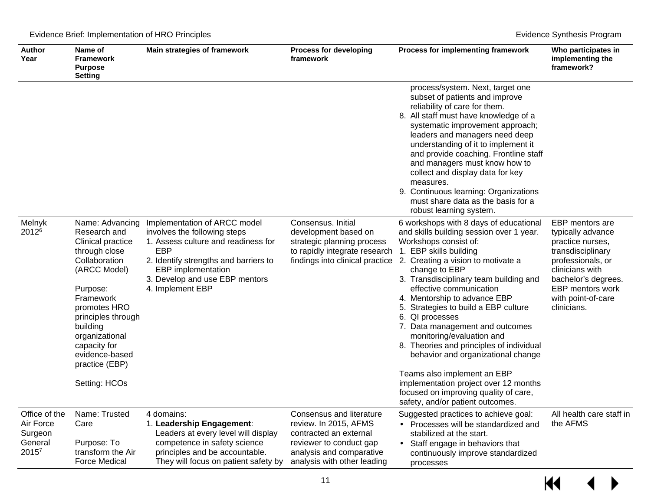| <b>Author</b><br>Year                                                 | Name of<br><b>Framework</b><br><b>Purpose</b><br><b>Setting</b>                                                                                                                                                                                                                 | Main strategies of framework                                                                                                                                                                                                                  | <b>Process for developing</b><br>framework                                                                                                                        | Process for implementing framework                                                                                                                                                                                                                                                                                                                                                                                                                                                                                                                                                                                              | Who participates in<br>implementing the<br>framework?                                                                                                                                                        |
|-----------------------------------------------------------------------|---------------------------------------------------------------------------------------------------------------------------------------------------------------------------------------------------------------------------------------------------------------------------------|-----------------------------------------------------------------------------------------------------------------------------------------------------------------------------------------------------------------------------------------------|-------------------------------------------------------------------------------------------------------------------------------------------------------------------|---------------------------------------------------------------------------------------------------------------------------------------------------------------------------------------------------------------------------------------------------------------------------------------------------------------------------------------------------------------------------------------------------------------------------------------------------------------------------------------------------------------------------------------------------------------------------------------------------------------------------------|--------------------------------------------------------------------------------------------------------------------------------------------------------------------------------------------------------------|
|                                                                       |                                                                                                                                                                                                                                                                                 |                                                                                                                                                                                                                                               |                                                                                                                                                                   | process/system. Next, target one<br>subset of patients and improve<br>reliability of care for them.<br>8. All staff must have knowledge of a<br>systematic improvement approach;<br>leaders and managers need deep<br>understanding of it to implement it<br>and provide coaching. Frontline staff<br>and managers must know how to<br>collect and display data for key<br>measures.<br>9. Continuous learning: Organizations<br>must share data as the basis for a<br>robust learning system.                                                                                                                                  |                                                                                                                                                                                                              |
| Melnyk<br>2012 <sup>6</sup>                                           | Name: Advancing<br>Research and<br><b>Clinical practice</b><br>through close<br>Collaboration<br>(ARCC Model)<br>Purpose:<br>Framework<br>promotes HRO<br>principles through<br>building<br>organizational<br>capacity for<br>evidence-based<br>practice (EBP)<br>Setting: HCOs | Implementation of ARCC model<br>involves the following steps<br>1. Assess culture and readiness for<br><b>EBP</b><br>2. Identify strengths and barriers to<br><b>EBP</b> implementation<br>3. Develop and use EBP mentors<br>4. Implement EBP | Consensus. Initial<br>development based on<br>strategic planning process<br>to rapidly integrate research<br>findings into clinical practice                      | 6 workshops with 8 days of educational<br>and skills building session over 1 year.<br>Workshops consist of:<br>1. EBP skills building<br>2. Creating a vision to motivate a<br>change to EBP<br>3. Transdisciplinary team building and<br>effective communication<br>4. Mentorship to advance EBP<br>5. Strategies to build a EBP culture<br>6. QI processes<br>7. Data management and outcomes<br>monitoring/evaluation and<br>8. Theories and principles of individual<br>behavior and organizational change<br>Teams also implement an EBP<br>implementation project over 12 months<br>focused on improving quality of care, | <b>EBP</b> mentors are<br>typically advance<br>practice nurses,<br>transdisciplinary<br>professionals, or<br>clinicians with<br>bachelor's degrees.<br>EBP mentors work<br>with point-of-care<br>clinicians. |
| Office of the<br>Air Force<br>Surgeon<br>General<br>2015 <sup>7</sup> | Name: Trusted<br>Care<br>Purpose: To<br>transform the Air<br><b>Force Medical</b>                                                                                                                                                                                               | 4 domains:<br>1. Leadership Engagement:<br>Leaders at every level will display<br>competence in safety science<br>principles and be accountable.<br>They will focus on patient safety by                                                      | Consensus and literature<br>review. In 2015, AFMS<br>contracted an external<br>reviewer to conduct gap<br>analysis and comparative<br>analysis with other leading | safety, and/or patient outcomes.<br>Suggested practices to achieve goal:<br>Processes will be standardized and<br>stabilized at the start.<br>Staff engage in behaviors that<br>continuously improve standardized<br>processes                                                                                                                                                                                                                                                                                                                                                                                                  | All health care staff in<br>the AFMS                                                                                                                                                                         |

## $\overline{\mathsf{M}}$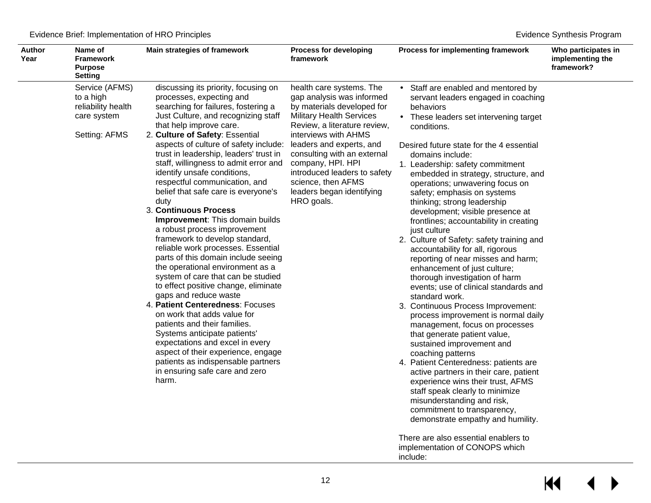Evidence Brief: Implementation of HRO Principles **Evidence Synthesis Program** 

| <b>Author</b><br>Year | Name of<br><b>Framework</b><br><b>Purpose</b><br>Setting                          | Main strategies of framework                                                                                                                                                                                                                                                                                                                                                                                                                                                                                                                                                                                                                                                                                                                                                                                                                                                                                                                                                                                                                                                                               | <b>Process for developing</b><br>framework                                                                                                                                                                                                                                                                                                                      | Process for implementing framework                                                                                                                                                                                                                                                                                                                                                                                                                                                                                                                                                                                                                                                                                                                                                                                                                                                                                                                                                                                                                                                                                                                                                                                                                | Who participates in<br>implementing the<br>framework? |
|-----------------------|-----------------------------------------------------------------------------------|------------------------------------------------------------------------------------------------------------------------------------------------------------------------------------------------------------------------------------------------------------------------------------------------------------------------------------------------------------------------------------------------------------------------------------------------------------------------------------------------------------------------------------------------------------------------------------------------------------------------------------------------------------------------------------------------------------------------------------------------------------------------------------------------------------------------------------------------------------------------------------------------------------------------------------------------------------------------------------------------------------------------------------------------------------------------------------------------------------|-----------------------------------------------------------------------------------------------------------------------------------------------------------------------------------------------------------------------------------------------------------------------------------------------------------------------------------------------------------------|---------------------------------------------------------------------------------------------------------------------------------------------------------------------------------------------------------------------------------------------------------------------------------------------------------------------------------------------------------------------------------------------------------------------------------------------------------------------------------------------------------------------------------------------------------------------------------------------------------------------------------------------------------------------------------------------------------------------------------------------------------------------------------------------------------------------------------------------------------------------------------------------------------------------------------------------------------------------------------------------------------------------------------------------------------------------------------------------------------------------------------------------------------------------------------------------------------------------------------------------------|-------------------------------------------------------|
|                       | Service (AFMS)<br>to a high<br>reliability health<br>care system<br>Setting: AFMS | discussing its priority, focusing on<br>processes, expecting and<br>searching for failures, fostering a<br>Just Culture, and recognizing staff<br>that help improve care.<br>2. Culture of Safety: Essential<br>aspects of culture of safety include:<br>trust in leadership, leaders' trust in<br>staff, willingness to admit error and<br>identify unsafe conditions,<br>respectful communication, and<br>belief that safe care is everyone's<br>duty<br>3. Continuous Process<br>Improvement: This domain builds<br>a robust process improvement<br>framework to develop standard,<br>reliable work processes. Essential<br>parts of this domain include seeing<br>the operational environment as a<br>system of care that can be studied<br>to effect positive change, eliminate<br>gaps and reduce waste<br>4. Patient Centeredness: Focuses<br>on work that adds value for<br>patients and their families.<br>Systems anticipate patients'<br>expectations and excel in every<br>aspect of their experience, engage<br>patients as indispensable partners<br>in ensuring safe care and zero<br>harm. | health care systems. The<br>gap analysis was informed<br>by materials developed for<br><b>Military Health Services</b><br>Review, a literature review,<br>interviews with AHMS<br>leaders and experts, and<br>consulting with an external<br>company, HPI. HPI<br>introduced leaders to safety<br>science, then AFMS<br>leaders began identifying<br>HRO goals. | Staff are enabled and mentored by<br>servant leaders engaged in coaching<br>behaviors<br>These leaders set intervening target<br>conditions.<br>Desired future state for the 4 essential<br>domains include:<br>1. Leadership: safety commitment<br>embedded in strategy, structure, and<br>operations; unwavering focus on<br>safety; emphasis on systems<br>thinking; strong leadership<br>development; visible presence at<br>frontlines; accountability in creating<br>just culture<br>2. Culture of Safety: safety training and<br>accountability for all, rigorous<br>reporting of near misses and harm;<br>enhancement of just culture;<br>thorough investigation of harm<br>events; use of clinical standards and<br>standard work.<br>3. Continuous Process Improvement:<br>process improvement is normal daily<br>management, focus on processes<br>that generate patient value,<br>sustained improvement and<br>coaching patterns<br>4. Patient Centeredness: patients are<br>active partners in their care, patient<br>experience wins their trust, AFMS<br>staff speak clearly to minimize<br>misunderstanding and risk,<br>commitment to transparency,<br>demonstrate empathy and humility.<br>There are also essential enablers to |                                                       |
|                       |                                                                                   |                                                                                                                                                                                                                                                                                                                                                                                                                                                                                                                                                                                                                                                                                                                                                                                                                                                                                                                                                                                                                                                                                                            |                                                                                                                                                                                                                                                                                                                                                                 |                                                                                                                                                                                                                                                                                                                                                                                                                                                                                                                                                                                                                                                                                                                                                                                                                                                                                                                                                                                                                                                                                                                                                                                                                                                   |                                                       |

implementation of CONOPS which

include: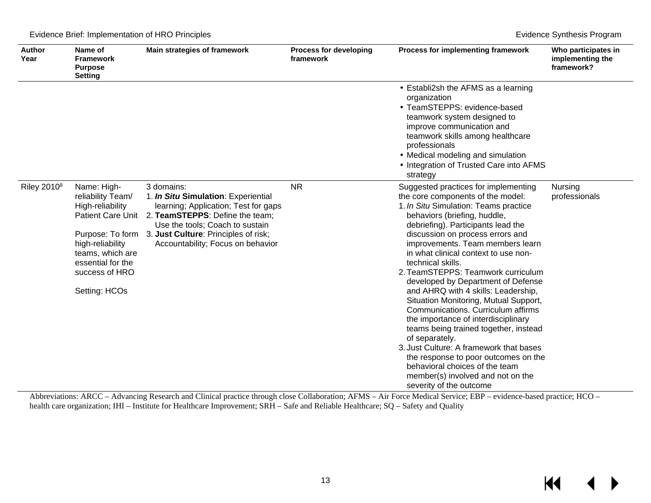|  | Evidence Brief: Implementation of HRO Principles |  |
|--|--------------------------------------------------|--|
|  |                                                  |  |

| <b>Author</b><br>Year | Name of<br><b>Framework</b><br><b>Purpose</b><br><b>Setting</b>                                                                                                                                      | Main strategies of framework                                                                                                                                                                                                                 | <b>Process for developing</b><br>framework | Process for implementing framework                                                                                                                                                                                                                                                                                                                                                                                                                                                                                                                                                                                                                                                                                                                                                                                     | Who participates in<br>implementing the<br>framework? |
|-----------------------|------------------------------------------------------------------------------------------------------------------------------------------------------------------------------------------------------|----------------------------------------------------------------------------------------------------------------------------------------------------------------------------------------------------------------------------------------------|--------------------------------------------|------------------------------------------------------------------------------------------------------------------------------------------------------------------------------------------------------------------------------------------------------------------------------------------------------------------------------------------------------------------------------------------------------------------------------------------------------------------------------------------------------------------------------------------------------------------------------------------------------------------------------------------------------------------------------------------------------------------------------------------------------------------------------------------------------------------------|-------------------------------------------------------|
|                       |                                                                                                                                                                                                      |                                                                                                                                                                                                                                              |                                            | Establi2sh the AFMS as a learning<br>organization<br>TeamSTEPPS: evidence-based<br>teamwork system designed to<br>improve communication and<br>teamwork skills among healthcare<br>professionals<br>· Medical modeling and simulation<br>Integration of Trusted Care into AFMS<br>strategy                                                                                                                                                                                                                                                                                                                                                                                                                                                                                                                             |                                                       |
| Riley $2010^8$        | Name: High-<br>reliability Team/<br>High-reliability<br><b>Patient Care Unit</b><br>Purpose: To form<br>high-reliability<br>teams, which are<br>essential for the<br>success of HRO<br>Setting: HCOs | 3 domains:<br>1. In Situ Simulation: Experiential<br>learning; Application; Test for gaps<br>2. TeamSTEPPS: Define the team;<br>Use the tools; Coach to sustain<br>3. Just Culture: Principles of risk;<br>Accountability; Focus on behavior | <b>NR</b>                                  | Suggested practices for implementing<br>the core components of the model:<br>1. In Situ Simulation: Teams practice<br>behaviors (briefing, huddle,<br>debriefing). Participants lead the<br>discussion on process errors and<br>improvements. Team members learn<br>in what clinical context to use non-<br>technical skills.<br>2. TeamSTEPPS: Teamwork curriculum<br>developed by Department of Defense<br>and AHRQ with 4 skills: Leadership,<br>Situation Monitoring, Mutual Support,<br>Communications, Curriculum affirms<br>the importance of interdisciplinary<br>teams being trained together, instead<br>of separately.<br>3. Just Culture: A framework that bases<br>the response to poor outcomes on the<br>behavioral choices of the team<br>member(s) involved and not on the<br>severity of the outcome | Nursing<br>professionals                              |

Abbreviations: ARCC – Advancing Research and Clinical practice through close Collaboration; AFMS – Air Force Medical Service; EBP – evidence-based practice; HCO – health care organization; IHI – Institute for Healthcare Improvement; SRH – Safe and Reliable Healthcare; SQ – Safety and Quality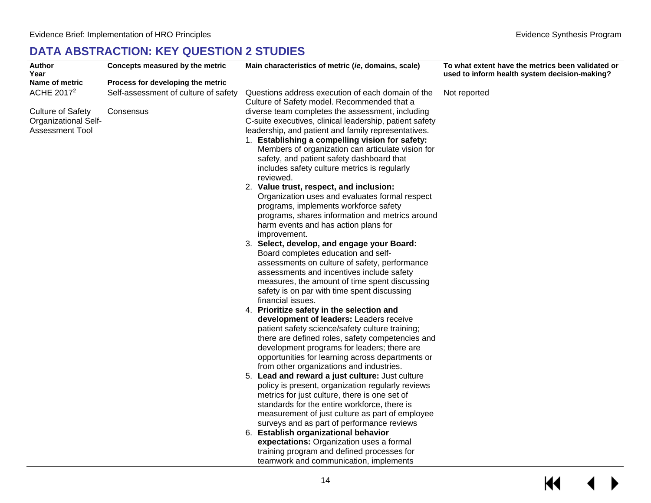## **DATA ABSTRACTION: KEY QUESTION 2 STUDIES**

<span id="page-15-0"></span>

| <b>Author</b><br>Year       | Concepts measured by the metric      | Main characteristics of metric ( <i>ie</i> , domains, scale)                                         | To what extent have the metrics been validated or<br>used to inform health system decision-making? |
|-----------------------------|--------------------------------------|------------------------------------------------------------------------------------------------------|----------------------------------------------------------------------------------------------------|
| Name of metric              | Process for developing the metric    |                                                                                                      |                                                                                                    |
| ACHE 2017 <sup>2</sup>      | Self-assessment of culture of safety | Questions address execution of each domain of the                                                    | Not reported                                                                                       |
|                             |                                      | Culture of Safety model. Recommended that a                                                          |                                                                                                    |
| <b>Culture of Safety</b>    | Consensus                            | diverse team completes the assessment, including                                                     |                                                                                                    |
| <b>Organizational Self-</b> |                                      | C-suite executives, clinical leadership, patient safety                                              |                                                                                                    |
| <b>Assessment Tool</b>      |                                      | leadership, and patient and family representatives.                                                  |                                                                                                    |
|                             |                                      | 1. Establishing a compelling vision for safety:<br>Members of organization can articulate vision for |                                                                                                    |
|                             |                                      | safety, and patient safety dashboard that                                                            |                                                                                                    |
|                             |                                      | includes safety culture metrics is regularly                                                         |                                                                                                    |
|                             |                                      | reviewed.                                                                                            |                                                                                                    |
|                             |                                      | 2. Value trust, respect, and inclusion:                                                              |                                                                                                    |
|                             |                                      | Organization uses and evaluates formal respect                                                       |                                                                                                    |
|                             |                                      | programs, implements workforce safety                                                                |                                                                                                    |
|                             |                                      | programs, shares information and metrics around                                                      |                                                                                                    |
|                             |                                      | harm events and has action plans for                                                                 |                                                                                                    |
|                             |                                      | improvement.                                                                                         |                                                                                                    |
|                             |                                      | 3. Select, develop, and engage your Board:                                                           |                                                                                                    |
|                             |                                      | Board completes education and self-                                                                  |                                                                                                    |
|                             |                                      | assessments on culture of safety, performance<br>assessments and incentives include safety           |                                                                                                    |
|                             |                                      | measures, the amount of time spent discussing                                                        |                                                                                                    |
|                             |                                      | safety is on par with time spent discussing                                                          |                                                                                                    |
|                             |                                      | financial issues.                                                                                    |                                                                                                    |
|                             |                                      | 4. Prioritize safety in the selection and                                                            |                                                                                                    |
|                             |                                      | development of leaders: Leaders receive                                                              |                                                                                                    |
|                             |                                      | patient safety science/safety culture training;                                                      |                                                                                                    |
|                             |                                      | there are defined roles, safety competencies and                                                     |                                                                                                    |
|                             |                                      | development programs for leaders; there are                                                          |                                                                                                    |
|                             |                                      | opportunities for learning across departments or                                                     |                                                                                                    |
|                             |                                      | from other organizations and industries.                                                             |                                                                                                    |
|                             |                                      | 5. Lead and reward a just culture: Just culture                                                      |                                                                                                    |
|                             |                                      | policy is present, organization regularly reviews<br>metrics for just culture, there is one set of   |                                                                                                    |
|                             |                                      | standards for the entire workforce, there is                                                         |                                                                                                    |
|                             |                                      | measurement of just culture as part of employee                                                      |                                                                                                    |
|                             |                                      | surveys and as part of performance reviews                                                           |                                                                                                    |
|                             |                                      | 6. Establish organizational behavior                                                                 |                                                                                                    |
|                             |                                      | expectations: Organization uses a formal                                                             |                                                                                                    |
|                             |                                      | training program and defined processes for                                                           |                                                                                                    |
|                             |                                      | teamwork and communication, implements                                                               |                                                                                                    |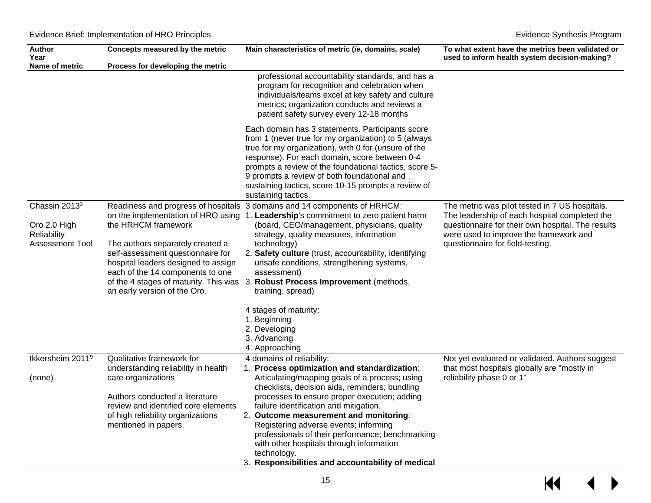| <b>Author</b><br>Year                                                              | Concepts measured by the metric                                                                                                                                                                         | Main characteristics of metric (ie, domains, scale)                                                                                                                                                                                                                                                                                                                                                                                                                                                 | To what extent have the metrics been validated or<br>used to inform health system decision-making?                                                                                                                                 |
|------------------------------------------------------------------------------------|---------------------------------------------------------------------------------------------------------------------------------------------------------------------------------------------------------|-----------------------------------------------------------------------------------------------------------------------------------------------------------------------------------------------------------------------------------------------------------------------------------------------------------------------------------------------------------------------------------------------------------------------------------------------------------------------------------------------------|------------------------------------------------------------------------------------------------------------------------------------------------------------------------------------------------------------------------------------|
| Name of metric                                                                     | Process for developing the metric                                                                                                                                                                       |                                                                                                                                                                                                                                                                                                                                                                                                                                                                                                     |                                                                                                                                                                                                                                    |
|                                                                                    |                                                                                                                                                                                                         | professional accountability standards, and has a<br>program for recognition and celebration when<br>individuals/teams excel at key safety and culture<br>metrics; organization conducts and reviews a<br>patient safety survey every 12-18 months                                                                                                                                                                                                                                                   |                                                                                                                                                                                                                                    |
|                                                                                    |                                                                                                                                                                                                         | Each domain has 3 statements. Participants score<br>from 1 (never true for my organization) to 5 (always<br>true for my organization), with 0 for (unsure of the<br>response). For each domain, score between 0-4<br>prompts a review of the foundational tactics, score 5-<br>9 prompts a review of both foundational and<br>sustaining tactics, score 10-15 prompts a review of<br>sustaining tactics.                                                                                            |                                                                                                                                                                                                                                    |
| Chassin 2013 <sup>3</sup><br>Oro 2.0 High<br>Reliability<br><b>Assessment Tool</b> | the HRHCM framework<br>The authors separately created a<br>self-assessment questionnaire for<br>hospital leaders designed to assign<br>each of the 14 components to one<br>an early version of the Oro. | Readiness and progress of hospitals 3 domains and 14 components of HRHCM:<br>on the implementation of HRO using 1. Leadership's commitment to zero patient harm<br>(board, CEO/management, physicians, quality<br>strategy, quality measures, information<br>technology)<br>2. Safety culture (trust, accountability, identifying<br>unsafe conditions, strengthening systems,<br>assessment)<br>of the 4 stages of maturity. This was 3. Robust Process Improvement (methods,<br>training, spread) | The metric was pilot tested in 7 US hospitals.<br>The leadership of each hospital completed the<br>questionnaire for their own hospital. The results<br>were used to improve the framework and<br>questionnaire for field-testing. |
|                                                                                    |                                                                                                                                                                                                         | 4 stages of maturity:<br>1. Beginning<br>2. Developing<br>3. Advancing<br>4. Approaching                                                                                                                                                                                                                                                                                                                                                                                                            |                                                                                                                                                                                                                                    |
| Ikkersheim 2011 <sup>9</sup>                                                       | Qualitative framework for                                                                                                                                                                               | 4 domains of reliability:                                                                                                                                                                                                                                                                                                                                                                                                                                                                           | Not yet evaluated or validated. Authors suggest                                                                                                                                                                                    |
| (none)                                                                             | understanding reliability in health<br>care organizations                                                                                                                                               | 1. Process optimization and standardization:<br>Articulating/mapping goals of a process; using<br>checklists, decision aids, reminders; bundling                                                                                                                                                                                                                                                                                                                                                    | that most hospitals globally are "mostly in<br>reliability phase 0 or 1"                                                                                                                                                           |
|                                                                                    | Authors conducted a literature<br>review and identified core elements<br>of high reliability organizations<br>mentioned in papers.                                                                      | processes to ensure proper execution; adding<br>failure identification and mitigation.<br>2. Outcome measurement and monitoring:<br>Registering adverse events; informing<br>professionals of their performance; benchmarking<br>with other hospitals through information<br>technology.<br>3. Responsibilities and accountability of medical                                                                                                                                                       |                                                                                                                                                                                                                                    |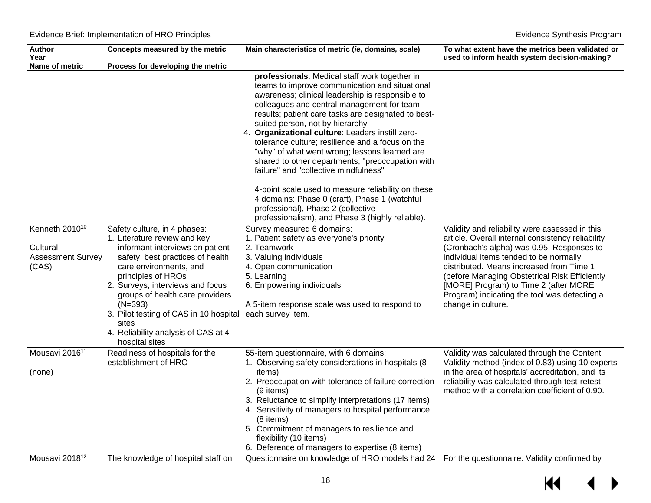| <b>Author</b><br>Year                                                       | Concepts measured by the metric                                                                                                                                                                                                                                                                                                                                                     | Main characteristics of metric (ie, domains, scale)                                                                                                                                                                                                                                                                                                                                                                                                                                                                                               | To what extent have the metrics been validated or<br>used to inform health system decision-making?                                                                                                                                                                                                                                                                                                     |
|-----------------------------------------------------------------------------|-------------------------------------------------------------------------------------------------------------------------------------------------------------------------------------------------------------------------------------------------------------------------------------------------------------------------------------------------------------------------------------|---------------------------------------------------------------------------------------------------------------------------------------------------------------------------------------------------------------------------------------------------------------------------------------------------------------------------------------------------------------------------------------------------------------------------------------------------------------------------------------------------------------------------------------------------|--------------------------------------------------------------------------------------------------------------------------------------------------------------------------------------------------------------------------------------------------------------------------------------------------------------------------------------------------------------------------------------------------------|
| Name of metric                                                              | Process for developing the metric                                                                                                                                                                                                                                                                                                                                                   |                                                                                                                                                                                                                                                                                                                                                                                                                                                                                                                                                   |                                                                                                                                                                                                                                                                                                                                                                                                        |
|                                                                             |                                                                                                                                                                                                                                                                                                                                                                                     | professionals: Medical staff work together in<br>teams to improve communication and situational<br>awareness; clinical leadership is responsible to<br>colleagues and central management for team<br>results; patient care tasks are designated to best-<br>suited person, not by hierarchy<br>4. Organizational culture: Leaders instill zero-<br>tolerance culture; resilience and a focus on the<br>"why" of what went wrong; lessons learned are<br>shared to other departments; "preoccupation with<br>failure" and "collective mindfulness" |                                                                                                                                                                                                                                                                                                                                                                                                        |
|                                                                             |                                                                                                                                                                                                                                                                                                                                                                                     | 4-point scale used to measure reliability on these<br>4 domains: Phase 0 (craft), Phase 1 (watchful<br>professional), Phase 2 (collective<br>professionalism), and Phase 3 (highly reliable).                                                                                                                                                                                                                                                                                                                                                     |                                                                                                                                                                                                                                                                                                                                                                                                        |
| Kenneth 2010 <sup>10</sup><br>Cultural<br><b>Assessment Survey</b><br>(CAS) | Safety culture, in 4 phases:<br>1. Literature review and key<br>informant interviews on patient<br>safety, best practices of health<br>care environments, and<br>principles of HROs<br>2. Surveys, interviews and focus<br>groups of health care providers<br>$(N=393)$<br>3. Pilot testing of CAS in 10 hospital<br>sites<br>4. Reliability analysis of CAS at 4<br>hospital sites | Survey measured 6 domains:<br>1. Patient safety as everyone's priority<br>2. Teamwork<br>3. Valuing individuals<br>4. Open communication<br>5. Learning<br>6. Empowering individuals<br>A 5-item response scale was used to respond to<br>each survey item.                                                                                                                                                                                                                                                                                       | Validity and reliability were assessed in this<br>article. Overall internal consistency reliability<br>(Cronbach's alpha) was 0.95. Responses to<br>individual items tended to be normally<br>distributed. Means increased from Time 1<br>(before Managing Obstetrical Risk Efficiently<br>[MORE] Program) to Time 2 (after MORE<br>Program) indicating the tool was detecting a<br>change in culture. |
| Mousavi 2016 <sup>11</sup><br>(none)                                        | Readiness of hospitals for the<br>establishment of HRO                                                                                                                                                                                                                                                                                                                              | 55-item questionnaire, with 6 domains:<br>1. Observing safety considerations in hospitals (8)<br>items)<br>2. Preoccupation with tolerance of failure correction<br>(9 items)<br>3. Reluctance to simplify interpretations (17 items)<br>4. Sensitivity of managers to hospital performance<br>(8 items)<br>5. Commitment of managers to resilience and<br>flexibility (10 items)                                                                                                                                                                 | Validity was calculated through the Content<br>Validity method (index of 0.83) using 10 experts<br>in the area of hospitals' accreditation, and its<br>reliability was calculated through test-retest<br>method with a correlation coefficient of 0.90.                                                                                                                                                |
| Mousavi 2018 <sup>12</sup>                                                  | The knowledge of hospital staff on                                                                                                                                                                                                                                                                                                                                                  | 6. Deference of managers to expertise (8 items)<br>Questionnaire on knowledge of HRO models had 24                                                                                                                                                                                                                                                                                                                                                                                                                                                | For the questionnaire: Validity confirmed by                                                                                                                                                                                                                                                                                                                                                           |

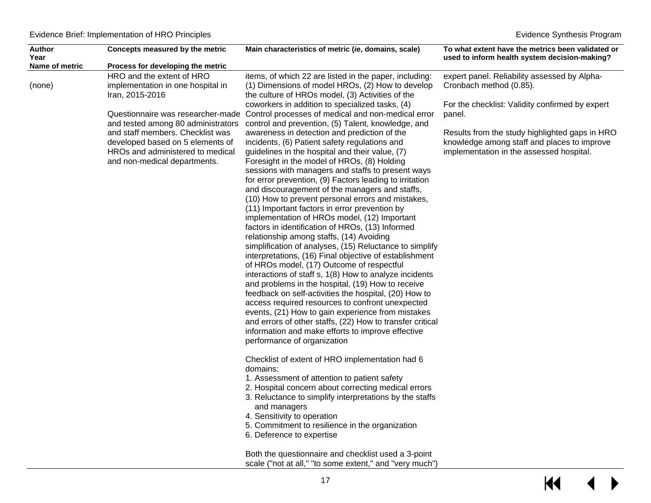| <b>Author</b><br>Year | Concepts measured by the metric                                                                                                                                                | Main characteristics of metric (ie, domains, scale)                                                                                                                                                                                                                                                                                                                                                                                                                                                                                                                                                                                                                                                                                                                                                                                                                                                                                                                                                                                                                                                                                                                                                                                                | To what extent have the metrics been validated or<br>used to inform health system decision-making?                                        |
|-----------------------|--------------------------------------------------------------------------------------------------------------------------------------------------------------------------------|----------------------------------------------------------------------------------------------------------------------------------------------------------------------------------------------------------------------------------------------------------------------------------------------------------------------------------------------------------------------------------------------------------------------------------------------------------------------------------------------------------------------------------------------------------------------------------------------------------------------------------------------------------------------------------------------------------------------------------------------------------------------------------------------------------------------------------------------------------------------------------------------------------------------------------------------------------------------------------------------------------------------------------------------------------------------------------------------------------------------------------------------------------------------------------------------------------------------------------------------------|-------------------------------------------------------------------------------------------------------------------------------------------|
| Name of metric        | Process for developing the metric                                                                                                                                              |                                                                                                                                                                                                                                                                                                                                                                                                                                                                                                                                                                                                                                                                                                                                                                                                                                                                                                                                                                                                                                                                                                                                                                                                                                                    |                                                                                                                                           |
| (none)                | HRO and the extent of HRO<br>implementation in one hospital in<br>Iran, 2015-2016                                                                                              | items, of which 22 are listed in the paper, including:<br>(1) Dimensions of model HROs, (2) How to develop<br>the culture of HROs model, (3) Activities of the                                                                                                                                                                                                                                                                                                                                                                                                                                                                                                                                                                                                                                                                                                                                                                                                                                                                                                                                                                                                                                                                                     | expert panel. Reliability assessed by Alpha-<br>Cronbach method (0.85).                                                                   |
|                       | Questionnaire was researcher-made                                                                                                                                              | coworkers in addition to specialized tasks, (4)<br>Control processes of medical and non-medical error                                                                                                                                                                                                                                                                                                                                                                                                                                                                                                                                                                                                                                                                                                                                                                                                                                                                                                                                                                                                                                                                                                                                              | For the checklist: Validity confirmed by expert<br>panel.                                                                                 |
|                       | and tested among 80 administrators<br>and staff members. Checklist was<br>developed based on 5 elements of<br>HROs and administered to medical<br>and non-medical departments. | control and prevention, (5) Talent, knowledge, and<br>awareness in detection and prediction of the<br>incidents, (6) Patient safety regulations and<br>guidelines in the hospital and their value, (7)<br>Foresight in the model of HROs, (8) Holding<br>sessions with managers and staffs to present ways<br>for error prevention, (9) Factors leading to irritation<br>and discouragement of the managers and staffs,<br>(10) How to prevent personal errors and mistakes,<br>(11) Important factors in error prevention by<br>implementation of HROs model, (12) Important<br>factors in identification of HROs, (13) Informed<br>relationship among staffs, (14) Avoiding<br>simplification of analyses, (15) Reluctance to simplify<br>interpretations, (16) Final objective of establishment<br>of HROs model, (17) Outcome of respectful<br>interactions of staff s, 1(8) How to analyze incidents<br>and problems in the hospital, (19) How to receive<br>feedback on self-activities the hospital, (20) How to<br>access required resources to confront unexpected<br>events, (21) How to gain experience from mistakes<br>and errors of other staffs, (22) How to transfer critical<br>information and make efforts to improve effective | Results from the study highlighted gaps in HRO<br>knowledge among staff and places to improve<br>implementation in the assessed hospital. |
|                       |                                                                                                                                                                                | performance of organization<br>Checklist of extent of HRO implementation had 6<br>domains:                                                                                                                                                                                                                                                                                                                                                                                                                                                                                                                                                                                                                                                                                                                                                                                                                                                                                                                                                                                                                                                                                                                                                         |                                                                                                                                           |
|                       |                                                                                                                                                                                | 1. Assessment of attention to patient safety<br>2. Hospital concern about correcting medical errors<br>3. Reluctance to simplify interpretations by the staffs<br>and managers<br>4. Sensitivity to operation<br>5. Commitment to resilience in the organization<br>6. Deference to expertise                                                                                                                                                                                                                                                                                                                                                                                                                                                                                                                                                                                                                                                                                                                                                                                                                                                                                                                                                      |                                                                                                                                           |
|                       |                                                                                                                                                                                | Both the questionnaire and checklist used a 3-point<br>scale ("not at all," "to some extent," and "very much")                                                                                                                                                                                                                                                                                                                                                                                                                                                                                                                                                                                                                                                                                                                                                                                                                                                                                                                                                                                                                                                                                                                                     |                                                                                                                                           |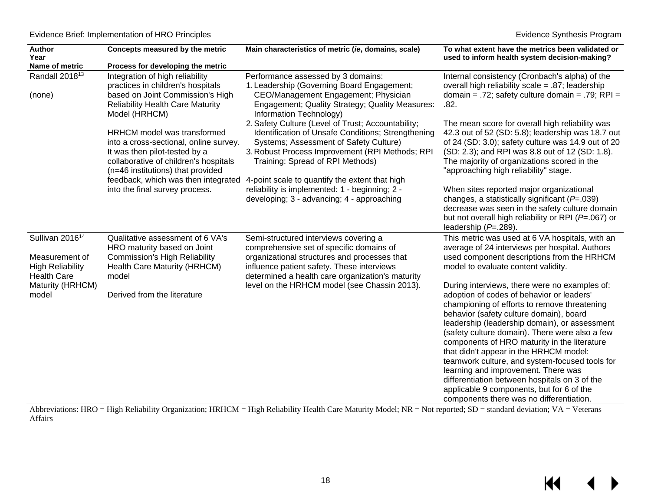| Author<br>Year                                                  | Concepts measured by the metric                                                                                                                       | Main characteristics of metric (ie, domains, scale)                                                                                            | To what extent have the metrics been validated or<br>used to inform health system decision-making?                                                                                            |
|-----------------------------------------------------------------|-------------------------------------------------------------------------------------------------------------------------------------------------------|------------------------------------------------------------------------------------------------------------------------------------------------|-----------------------------------------------------------------------------------------------------------------------------------------------------------------------------------------------|
| Name of metric                                                  | Process for developing the metric                                                                                                                     |                                                                                                                                                |                                                                                                                                                                                               |
| Randall 2018 <sup>13</sup><br>(none)                            | Integration of high reliability<br>practices in children's hospitals<br>based on Joint Commission's High                                              | Performance assessed by 3 domains:<br>1. Leadership (Governing Board Engagement;<br>CEO/Management Engagement; Physician                       | Internal consistency (Cronbach's alpha) of the<br>overall high reliability scale = .87; leadership<br>domain = .72; safety culture domain = .79; $RPI =$                                      |
|                                                                 | <b>Reliability Health Care Maturity</b><br>Model (HRHCM)                                                                                              | Engagement; Quality Strategy; Quality Measures:<br>Information Technology)<br>2. Safety Culture (Level of Trust; Accountability;               | .82.<br>The mean score for overall high reliability was                                                                                                                                       |
|                                                                 | <b>HRHCM</b> model was transformed                                                                                                                    | Identification of Unsafe Conditions; Strengthening                                                                                             | 42.3 out of 52 (SD: 5.8); leadership was 18.7 out                                                                                                                                             |
|                                                                 | into a cross-sectional, online survey.<br>It was then pilot-tested by a<br>collaborative of children's hospitals<br>(n=46 institutions) that provided | Systems; Assessment of Safety Culture)<br>3. Robust Process Improvement (RPI Methods; RPI<br>Training: Spread of RPI Methods)                  | of 24 (SD: 3.0); safety culture was 14.9 out of 20<br>(SD: 2.3); and RPI was 8.8 out of 12 (SD: 1.8).<br>The majority of organizations scored in the<br>"approaching high reliability" stage. |
|                                                                 | feedback, which was then integrated<br>into the final survey process.                                                                                 | 4-point scale to quantify the extent that high<br>reliability is implemented: 1 - beginning; 2 -                                               | When sites reported major organizational                                                                                                                                                      |
|                                                                 |                                                                                                                                                       | developing; 3 - advancing; 4 - approaching                                                                                                     | changes, a statistically significant ( $P = .039$ )<br>decrease was seen in the safety culture domain<br>but not overall high reliability or RPI ( $P = .067$ ) or<br>leadership $(P=.289)$ . |
| Sullivan 2016 <sup>14</sup>                                     | Qualitative assessment of 6 VA's<br>HRO maturity based on Joint                                                                                       | Semi-structured interviews covering a<br>comprehensive set of specific domains of                                                              | This metric was used at 6 VA hospitals, with an<br>average of 24 interviews per hospital. Authors                                                                                             |
| Measurement of<br><b>High Reliability</b><br><b>Health Care</b> | <b>Commission's High Reliability</b><br>Health Care Maturity (HRHCM)<br>model                                                                         | organizational structures and processes that<br>influence patient safety. These interviews<br>determined a health care organization's maturity | used component descriptions from the HRHCM<br>model to evaluate content validity.                                                                                                             |
| Maturity (HRHCM)<br>model                                       | Derived from the literature                                                                                                                           | level on the HRHCM model (see Chassin 2013).                                                                                                   | During interviews, there were no examples of:<br>adoption of codes of behavior or leaders'                                                                                                    |
|                                                                 |                                                                                                                                                       |                                                                                                                                                | championing of efforts to remove threatening<br>behavior (safety culture domain), board                                                                                                       |
|                                                                 |                                                                                                                                                       |                                                                                                                                                | leadership (leadership domain), or assessment                                                                                                                                                 |
|                                                                 |                                                                                                                                                       |                                                                                                                                                | (safety culture domain). There were also a few<br>components of HRO maturity in the literature                                                                                                |
|                                                                 |                                                                                                                                                       |                                                                                                                                                | that didn't appear in the HRHCM model:<br>teamwork culture, and system-focused tools for                                                                                                      |
|                                                                 |                                                                                                                                                       |                                                                                                                                                | learning and improvement. There was<br>differentiation between hospitals on 3 of the                                                                                                          |
|                                                                 |                                                                                                                                                       |                                                                                                                                                | applicable 9 components, but for 6 of the<br>components there was no differentiation.                                                                                                         |

Abbreviations: HRO = High Reliability Organization; HRHCM = High Reliability Health Care Maturity Model; NR = Not reported; SD = standard deviation; VA = Veterans Affairs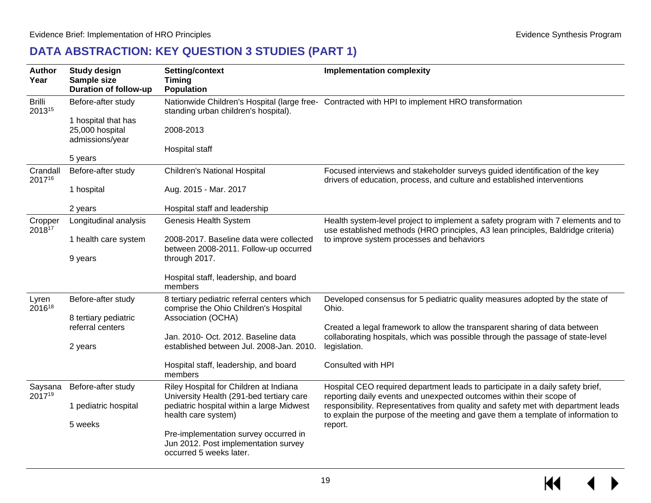## **DATA ABSTRACTION: KEY QUESTION 3 STUDIES (PART 1)**

<span id="page-20-0"></span>

| <b>Author</b><br>Year   | <b>Study design</b><br>Sample size<br><b>Duration of follow-up</b> | Setting/context<br><b>Timing</b><br><b>Population</b>                                                    | <b>Implementation complexity</b>                                                                                                                                                                                  |  |
|-------------------------|--------------------------------------------------------------------|----------------------------------------------------------------------------------------------------------|-------------------------------------------------------------------------------------------------------------------------------------------------------------------------------------------------------------------|--|
| <b>Brilli</b><br>201315 | Before-after study<br>1 hospital that has                          | standing urban children's hospital).                                                                     | Nationwide Children's Hospital (large free- Contracted with HPI to implement HRO transformation                                                                                                                   |  |
|                         | 25,000 hospital<br>admissions/year                                 | 2008-2013<br>Hospital staff                                                                              |                                                                                                                                                                                                                   |  |
|                         | 5 years                                                            |                                                                                                          |                                                                                                                                                                                                                   |  |
| Crandall<br>201716      | Before-after study                                                 | Children's National Hospital                                                                             | Focused interviews and stakeholder surveys guided identification of the key<br>drivers of education, process, and culture and established interventions                                                           |  |
|                         | 1 hospital                                                         | Aug. 2015 - Mar. 2017                                                                                    |                                                                                                                                                                                                                   |  |
|                         | 2 years                                                            | Hospital staff and leadership                                                                            |                                                                                                                                                                                                                   |  |
| Cropper<br>201817       | Longitudinal analysis                                              | Genesis Health System                                                                                    | Health system-level project to implement a safety program with 7 elements and to<br>use established methods (HRO principles, A3 lean principles, Baldridge criteria)<br>to improve system processes and behaviors |  |
|                         | 1 health care system                                               | 2008-2017. Baseline data were collected<br>between 2008-2011. Follow-up occurred                         |                                                                                                                                                                                                                   |  |
|                         | 9 years                                                            | through 2017.                                                                                            |                                                                                                                                                                                                                   |  |
|                         |                                                                    | Hospital staff, leadership, and board<br>members                                                         |                                                                                                                                                                                                                   |  |
| Lyren<br>201618         | Before-after study                                                 | 8 tertiary pediatric referral centers which<br>comprise the Ohio Children's Hospital                     | Developed consensus for 5 pediatric quality measures adopted by the state of<br>Ohio.                                                                                                                             |  |
|                         | 8 tertiary pediatric<br>referral centers                           | Association (OCHA)                                                                                       | Created a legal framework to allow the transparent sharing of data between                                                                                                                                        |  |
|                         | 2 years                                                            | Jan. 2010- Oct. 2012. Baseline data<br>established between Jul. 2008-Jan. 2010.                          | collaborating hospitals, which was possible through the passage of state-level<br>legislation.                                                                                                                    |  |
|                         |                                                                    | Hospital staff, leadership, and board<br>members                                                         | Consulted with HPI                                                                                                                                                                                                |  |
| Saysana<br>201719       | Before-after study                                                 | Riley Hospital for Children at Indiana<br>University Health (291-bed tertiary care                       | Hospital CEO required department leads to participate in a daily safety brief,<br>reporting daily events and unexpected outcomes within their scope of                                                            |  |
|                         | 1 pediatric hospital                                               | pediatric hospital within a large Midwest<br>health care system)                                         | responsibility. Representatives from quality and safety met with department leads<br>to explain the purpose of the meeting and gave them a template of information to                                             |  |
|                         | 5 weeks                                                            |                                                                                                          | report.                                                                                                                                                                                                           |  |
|                         |                                                                    | Pre-implementation survey occurred in<br>Jun 2012. Post implementation survey<br>occurred 5 weeks later. |                                                                                                                                                                                                                   |  |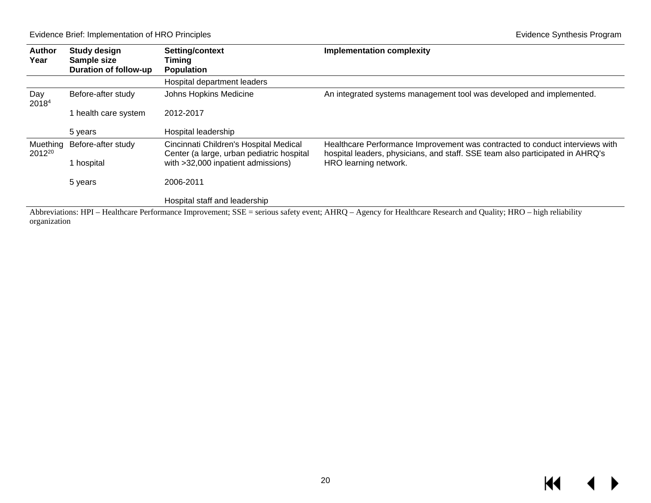Evidence Brief: Implementation of HRO Principles **Evidence Synthesis Program** 

| <b>Author</b><br>Year   | <b>Study design</b><br>Sample size | Setting/context<br>Timina                                                           | <b>Implementation complexity</b>                                                                                                                               |
|-------------------------|------------------------------------|-------------------------------------------------------------------------------------|----------------------------------------------------------------------------------------------------------------------------------------------------------------|
|                         | <b>Duration of follow-up</b>       | <b>Population</b>                                                                   |                                                                                                                                                                |
|                         |                                    | Hospital department leaders                                                         |                                                                                                                                                                |
| Day<br>20184            | Before-after study                 | Johns Hopkins Medicine                                                              | An integrated systems management tool was developed and implemented.                                                                                           |
|                         | 1 health care system               | 2012-2017                                                                           |                                                                                                                                                                |
|                         | 5 years                            | Hospital leadership                                                                 |                                                                                                                                                                |
| Muething<br>$2012^{20}$ | Before-after study                 | Cincinnati Children's Hospital Medical<br>Center (a large, urban pediatric hospital | Healthcare Performance Improvement was contracted to conduct interviews with<br>hospital leaders, physicians, and staff. SSE team also participated in AHRQ's  |
|                         | I hospital                         | with >32,000 inpatient admissions)                                                  | HRO learning network.                                                                                                                                          |
|                         | 5 years                            | 2006-2011                                                                           |                                                                                                                                                                |
|                         |                                    | Hospital staff and leadership                                                       |                                                                                                                                                                |
|                         |                                    |                                                                                     | Abbreviations: HPI - Healthcare Performance Improvement; SSE = serious safety event; AHRQ - Agency for Healthcare Research and Quality; HRO - high reliability |

<span id="page-21-0"></span>organization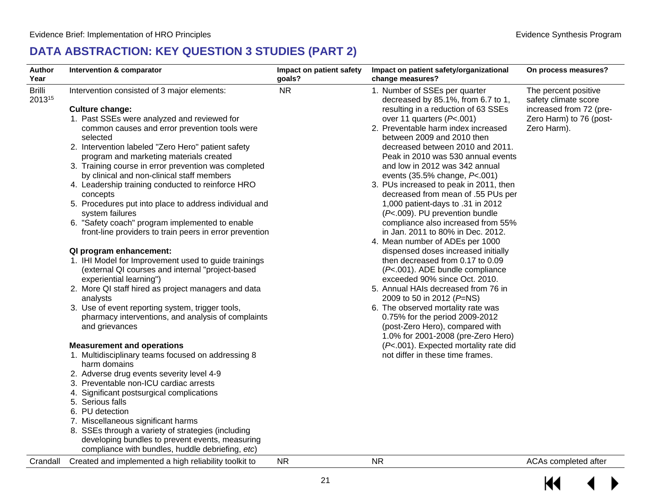## **DATA ABSTRACTION: KEY QUESTION 3 STUDIES (PART 2)**

| Author<br>Year          | Intervention & comparator                                                                                                                                                                                                                                                                                                                                                                                                                                                                                                                                                                                                                                                                                                                                                                                                                                                                                                                                                                                                                                                                                                                                                                                                                                                                                                                                                                                                                                                                                      | Impact on patient safety<br>goals? | Impact on patient safety/organizational<br>change measures?                                                                                                                                                                                                                                                                                                                                                                                                                                                                                                                                                                                                                                                                                                                                                                                                                                                                                                                                                                                                                       | On process measures?                                                                                              |
|-------------------------|----------------------------------------------------------------------------------------------------------------------------------------------------------------------------------------------------------------------------------------------------------------------------------------------------------------------------------------------------------------------------------------------------------------------------------------------------------------------------------------------------------------------------------------------------------------------------------------------------------------------------------------------------------------------------------------------------------------------------------------------------------------------------------------------------------------------------------------------------------------------------------------------------------------------------------------------------------------------------------------------------------------------------------------------------------------------------------------------------------------------------------------------------------------------------------------------------------------------------------------------------------------------------------------------------------------------------------------------------------------------------------------------------------------------------------------------------------------------------------------------------------------|------------------------------------|-----------------------------------------------------------------------------------------------------------------------------------------------------------------------------------------------------------------------------------------------------------------------------------------------------------------------------------------------------------------------------------------------------------------------------------------------------------------------------------------------------------------------------------------------------------------------------------------------------------------------------------------------------------------------------------------------------------------------------------------------------------------------------------------------------------------------------------------------------------------------------------------------------------------------------------------------------------------------------------------------------------------------------------------------------------------------------------|-------------------------------------------------------------------------------------------------------------------|
| <b>Brilli</b><br>201315 | Intervention consisted of 3 major elements:<br><b>Culture change:</b><br>1. Past SSEs were analyzed and reviewed for<br>common causes and error prevention tools were<br>selected<br>2. Intervention labeled "Zero Hero" patient safety<br>program and marketing materials created<br>3. Training course in error prevention was completed<br>by clinical and non-clinical staff members<br>4. Leadership training conducted to reinforce HRO<br>concepts<br>5. Procedures put into place to address individual and<br>system failures<br>6. "Safety coach" program implemented to enable<br>front-line providers to train peers in error prevention<br>QI program enhancement:<br>1. IHI Model for Improvement used to guide trainings<br>(external QI courses and internal "project-based<br>experiential learning")<br>2. More QI staff hired as project managers and data<br>analysts<br>3. Use of event reporting system, trigger tools,<br>pharmacy interventions, and analysis of complaints<br>and grievances<br><b>Measurement and operations</b><br>1. Multidisciplinary teams focused on addressing 8<br>harm domains<br>2. Adverse drug events severity level 4-9<br>3. Preventable non-ICU cardiac arrests<br>4. Significant postsurgical complications<br>5. Serious falls<br>6. PU detection<br>7. Miscellaneous significant harms<br>8. SSEs through a variety of strategies (including<br>developing bundles to prevent events, measuring<br>compliance with bundles, huddle debriefing, etc) | <b>NR</b>                          | 1. Number of SSEs per quarter<br>decreased by 85.1%, from 6.7 to 1,<br>resulting in a reduction of 63 SSEs<br>over 11 quarters $(P<.001)$<br>2. Preventable harm index increased<br>between 2009 and 2010 then<br>decreased between 2010 and 2011.<br>Peak in 2010 was 530 annual events<br>and low in 2012 was 342 annual<br>events (35.5% change, P<.001)<br>3. PUs increased to peak in 2011, then<br>decreased from mean of .55 PUs per<br>1,000 patient-days to .31 in 2012<br>(P<.009). PU prevention bundle<br>compliance also increased from 55%<br>in Jan. 2011 to 80% in Dec. 2012.<br>4. Mean number of ADEs per 1000<br>dispensed doses increased initially<br>then decreased from 0.17 to 0.09<br>(P<.001). ADE bundle compliance<br>exceeded 90% since Oct. 2010.<br>5. Annual HAIs decreased from 76 in<br>2009 to 50 in 2012 (P=NS)<br>6. The observed mortality rate was<br>0.75% for the period 2009-2012<br>(post-Zero Hero), compared with<br>1.0% for 2001-2008 (pre-Zero Hero)<br>(P<.001). Expected mortality rate did<br>not differ in these time frames. | The percent positive<br>safety climate score<br>increased from 72 (pre-<br>Zero Harm) to 76 (post-<br>Zero Harm). |
| Crandall                | Created and implemented a high reliability toolkit to                                                                                                                                                                                                                                                                                                                                                                                                                                                                                                                                                                                                                                                                                                                                                                                                                                                                                                                                                                                                                                                                                                                                                                                                                                                                                                                                                                                                                                                          | <b>NR</b>                          | <b>NR</b>                                                                                                                                                                                                                                                                                                                                                                                                                                                                                                                                                                                                                                                                                                                                                                                                                                                                                                                                                                                                                                                                         | ACAs completed after                                                                                              |

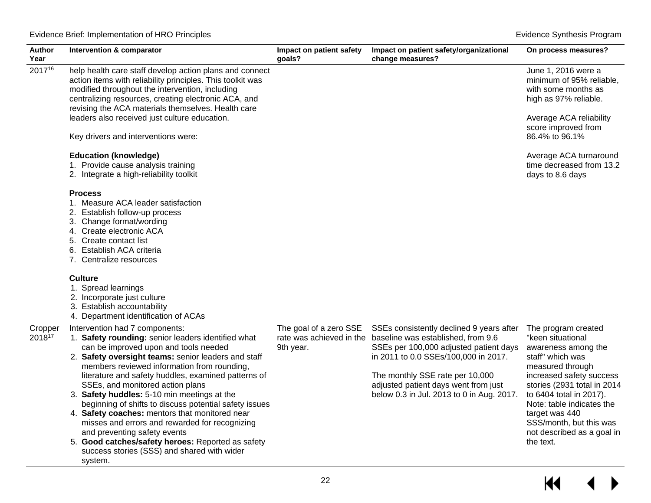| Author<br>Year    | Intervention & comparator                                                                                                                                                                                                                                                                                                                                                                                                                                                                                                                                                                                                        | Impact on patient safety<br>goals?  | Impact on patient safety/organizational<br>change measures?                                                                                                                                                                                                                                                       | On process measures?                                                                                                                                                                                                                                                                                               |
|-------------------|----------------------------------------------------------------------------------------------------------------------------------------------------------------------------------------------------------------------------------------------------------------------------------------------------------------------------------------------------------------------------------------------------------------------------------------------------------------------------------------------------------------------------------------------------------------------------------------------------------------------------------|-------------------------------------|-------------------------------------------------------------------------------------------------------------------------------------------------------------------------------------------------------------------------------------------------------------------------------------------------------------------|--------------------------------------------------------------------------------------------------------------------------------------------------------------------------------------------------------------------------------------------------------------------------------------------------------------------|
| 201716            | help health care staff develop action plans and connect<br>action items with reliability principles. This toolkit was<br>modified throughout the intervention, including<br>centralizing resources, creating electronic ACA, and<br>revising the ACA materials themselves. Health care                                                                                                                                                                                                                                                                                                                                           |                                     |                                                                                                                                                                                                                                                                                                                   | June 1, 2016 were a<br>minimum of 95% reliable,<br>with some months as<br>high as 97% reliable.                                                                                                                                                                                                                    |
|                   | leaders also received just culture education.<br>Key drivers and interventions were:                                                                                                                                                                                                                                                                                                                                                                                                                                                                                                                                             |                                     |                                                                                                                                                                                                                                                                                                                   | Average ACA reliability<br>score improved from<br>86.4% to 96.1%                                                                                                                                                                                                                                                   |
|                   | <b>Education (knowledge)</b><br>1. Provide cause analysis training<br>2. Integrate a high-reliability toolkit                                                                                                                                                                                                                                                                                                                                                                                                                                                                                                                    |                                     |                                                                                                                                                                                                                                                                                                                   | Average ACA turnaround<br>time decreased from 13.2<br>days to 8.6 days                                                                                                                                                                                                                                             |
|                   | <b>Process</b><br>1. Measure ACA leader satisfaction<br>2. Establish follow-up process<br>3. Change format/wording<br>4. Create electronic ACA<br>5. Create contact list<br>6. Establish ACA criteria<br>7. Centralize resources                                                                                                                                                                                                                                                                                                                                                                                                 |                                     |                                                                                                                                                                                                                                                                                                                   |                                                                                                                                                                                                                                                                                                                    |
|                   | <b>Culture</b><br>1. Spread learnings<br>2. Incorporate just culture<br>3. Establish accountability<br>4. Department identification of ACAs                                                                                                                                                                                                                                                                                                                                                                                                                                                                                      |                                     |                                                                                                                                                                                                                                                                                                                   |                                                                                                                                                                                                                                                                                                                    |
| Cropper<br>201817 | Intervention had 7 components:<br>1. Safety rounding: senior leaders identified what<br>can be improved upon and tools needed<br>2. Safety oversight teams: senior leaders and staff<br>members reviewed information from rounding,<br>literature and safety huddles, examined patterns of<br>SSEs, and monitored action plans<br>3. Safety huddles: 5-10 min meetings at the<br>beginning of shifts to discuss potential safety issues<br>4. Safety coaches: mentors that monitored near<br>misses and errors and rewarded for recognizing<br>and preventing safety events<br>5. Good catches/safety heroes: Reported as safety | The goal of a zero SSE<br>9th year. | SSEs consistently declined 9 years after<br>rate was achieved in the baseline was established, from 9.6<br>SSEs per 100,000 adjusted patient days<br>in 2011 to 0.0 SSEs/100,000 in 2017.<br>The monthly SSE rate per 10,000<br>adjusted patient days went from just<br>below 0.3 in Jul. 2013 to 0 in Aug. 2017. | The program created<br>"keen situational<br>awareness among the<br>staff" which was<br>measured through<br>increased safety success<br>stories (2931 total in 2014<br>to 6404 total in 2017).<br>Note: table indicates the<br>target was 440<br>SSS/month, but this was<br>not described as a goal in<br>the text. |
|                   | success stories (SSS) and shared with wider<br>system.                                                                                                                                                                                                                                                                                                                                                                                                                                                                                                                                                                           |                                     |                                                                                                                                                                                                                                                                                                                   |                                                                                                                                                                                                                                                                                                                    |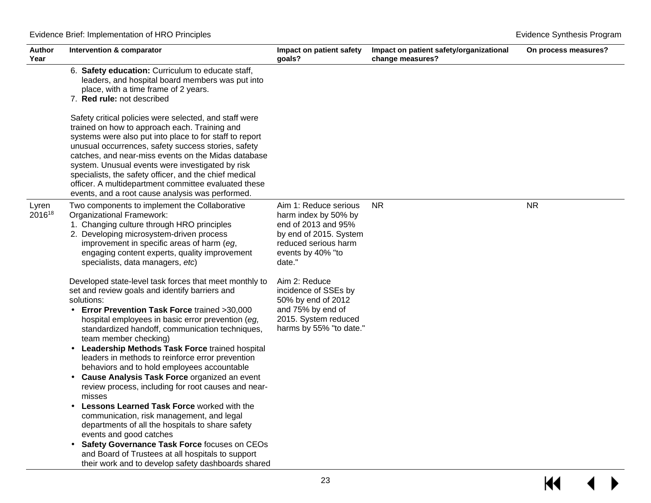| <b>Author</b><br>Year | Intervention & comparator                                                                                                                                                                                                                                                                                                                                                                                                                                                                                                                                                                                                                                                                                                                                                                                                                                                                                                | Impact on patient safety<br>goals?                                                                                                                    | Impact on patient safety/organizational<br>change measures? | On process measures? |
|-----------------------|--------------------------------------------------------------------------------------------------------------------------------------------------------------------------------------------------------------------------------------------------------------------------------------------------------------------------------------------------------------------------------------------------------------------------------------------------------------------------------------------------------------------------------------------------------------------------------------------------------------------------------------------------------------------------------------------------------------------------------------------------------------------------------------------------------------------------------------------------------------------------------------------------------------------------|-------------------------------------------------------------------------------------------------------------------------------------------------------|-------------------------------------------------------------|----------------------|
|                       | 6. Safety education: Curriculum to educate staff,<br>leaders, and hospital board members was put into<br>place, with a time frame of 2 years.<br>7. Red rule: not described                                                                                                                                                                                                                                                                                                                                                                                                                                                                                                                                                                                                                                                                                                                                              |                                                                                                                                                       |                                                             |                      |
|                       | Safety critical policies were selected, and staff were<br>trained on how to approach each. Training and<br>systems were also put into place to for staff to report<br>unusual occurrences, safety success stories, safety<br>catches, and near-miss events on the Midas database<br>system. Unusual events were investigated by risk<br>specialists, the safety officer, and the chief medical<br>officer. A multidepartment committee evaluated these<br>events, and a root cause analysis was performed.                                                                                                                                                                                                                                                                                                                                                                                                               |                                                                                                                                                       |                                                             |                      |
| Lyren<br>201618       | Two components to implement the Collaborative<br>Organizational Framework:<br>1. Changing culture through HRO principles<br>2. Developing microsystem-driven process<br>improvement in specific areas of harm (eg,<br>engaging content experts, quality improvement<br>specialists, data managers, etc)                                                                                                                                                                                                                                                                                                                                                                                                                                                                                                                                                                                                                  | Aim 1: Reduce serious<br>harm index by 50% by<br>end of 2013 and 95%<br>by end of 2015. System<br>reduced serious harm<br>events by 40% "to<br>date." | <b>NR</b>                                                   | <b>NR</b>            |
|                       | Developed state-level task forces that meet monthly to<br>set and review goals and identify barriers and<br>solutions:<br>Error Prevention Task Force trained >30,000<br>hospital employees in basic error prevention (eg,<br>standardized handoff, communication techniques,<br>team member checking)<br>Leadership Methods Task Force trained hospital<br>leaders in methods to reinforce error prevention<br>behaviors and to hold employees accountable<br>Cause Analysis Task Force organized an event<br>review process, including for root causes and near-<br>misses<br><b>Lessons Learned Task Force worked with the</b><br>communication, risk management, and legal<br>departments of all the hospitals to share safety<br>events and good catches<br>Safety Governance Task Force focuses on CEOs<br>and Board of Trustees at all hospitals to support<br>their work and to develop safety dashboards shared | Aim 2: Reduce<br>incidence of SSEs by<br>50% by end of 2012<br>and 75% by end of<br>2015. System reduced<br>harms by 55% "to date."                   |                                                             |                      |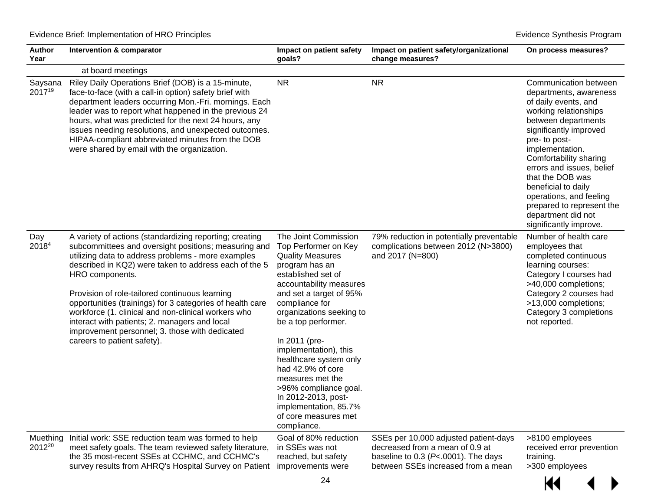| Author<br>Year                 | Intervention & comparator<br>Impact on patient safety<br>goals?                                                                                                                                                                                                                                                                                                                                                                                                                                                                                                                |                                                                                                                                                                                                                                                                                                                                                                                                                                                 | Impact on patient safety/organizational<br>change measures?                                                                                                | On process measures?                                                                                                                                                                                                                                                                                                                                                                            |
|--------------------------------|--------------------------------------------------------------------------------------------------------------------------------------------------------------------------------------------------------------------------------------------------------------------------------------------------------------------------------------------------------------------------------------------------------------------------------------------------------------------------------------------------------------------------------------------------------------------------------|-------------------------------------------------------------------------------------------------------------------------------------------------------------------------------------------------------------------------------------------------------------------------------------------------------------------------------------------------------------------------------------------------------------------------------------------------|------------------------------------------------------------------------------------------------------------------------------------------------------------|-------------------------------------------------------------------------------------------------------------------------------------------------------------------------------------------------------------------------------------------------------------------------------------------------------------------------------------------------------------------------------------------------|
|                                | at board meetings                                                                                                                                                                                                                                                                                                                                                                                                                                                                                                                                                              |                                                                                                                                                                                                                                                                                                                                                                                                                                                 |                                                                                                                                                            |                                                                                                                                                                                                                                                                                                                                                                                                 |
| Saysana<br>201719              | Riley Daily Operations Brief (DOB) is a 15-minute,<br>face-to-face (with a call-in option) safety brief with<br>department leaders occurring Mon.-Fri. mornings. Each<br>leader was to report what happened in the previous 24<br>hours, what was predicted for the next 24 hours, any<br>issues needing resolutions, and unexpected outcomes.<br>HIPAA-compliant abbreviated minutes from the DOB<br>were shared by email with the organization.                                                                                                                              | <b>NR</b>                                                                                                                                                                                                                                                                                                                                                                                                                                       | <b>NR</b>                                                                                                                                                  | Communication between<br>departments, awareness<br>of daily events, and<br>working relationships<br>between departments<br>significantly improved<br>pre- to post-<br>implementation.<br>Comfortability sharing<br>errors and issues, belief<br>that the DOB was<br>beneficial to daily<br>operations, and feeling<br>prepared to represent the<br>department did not<br>significantly improve. |
| Day<br>20184                   | A variety of actions (standardizing reporting; creating<br>subcommittees and oversight positions; measuring and Top Performer on Key<br>utilizing data to address problems - more examples<br>described in KQ2) were taken to address each of the 5<br>HRO components.<br>Provision of role-tailored continuous learning<br>opportunities (trainings) for 3 categories of health care<br>workforce (1. clinical and non-clinical workers who<br>interact with patients; 2. managers and local<br>improvement personnel; 3. those with dedicated<br>careers to patient safety). | The Joint Commission<br><b>Quality Measures</b><br>program has an<br>established set of<br>accountability measures<br>and set a target of 95%<br>compliance for<br>organizations seeking to<br>be a top performer.<br>In 2011 (pre-<br>implementation), this<br>healthcare system only<br>had 42.9% of core<br>measures met the<br>>96% compliance goal.<br>In 2012-2013, post-<br>implementation, 85.7%<br>of core measures met<br>compliance. | 79% reduction in potentially preventable<br>complications between 2012 (N>3800)<br>and 2017 (N=800)                                                        | Number of health care<br>employees that<br>completed continuous<br>learning courses:<br>Category I courses had<br>>40,000 completions;<br>Category 2 courses had<br>>13,000 completions;<br>Category 3 completions<br>not reported.                                                                                                                                                             |
| Muething<br>2012 <sup>20</sup> | Initial work: SSE reduction team was formed to help<br>meet safety goals. The team reviewed safety literature,<br>the 35 most-recent SSEs at CCHMC, and CCHMC's<br>survey results from AHRQ's Hospital Survey on Patient                                                                                                                                                                                                                                                                                                                                                       | Goal of 80% reduction<br>in SSEs was not<br>reached, but safety<br>improvements were                                                                                                                                                                                                                                                                                                                                                            | SSEs per 10,000 adjusted patient-days<br>decreased from a mean of 0.9 at<br>baseline to 0.3 ( $P<$ -.0001). The days<br>between SSEs increased from a mean | >8100 employees<br>received error prevention<br>training.<br>>300 employees                                                                                                                                                                                                                                                                                                                     |

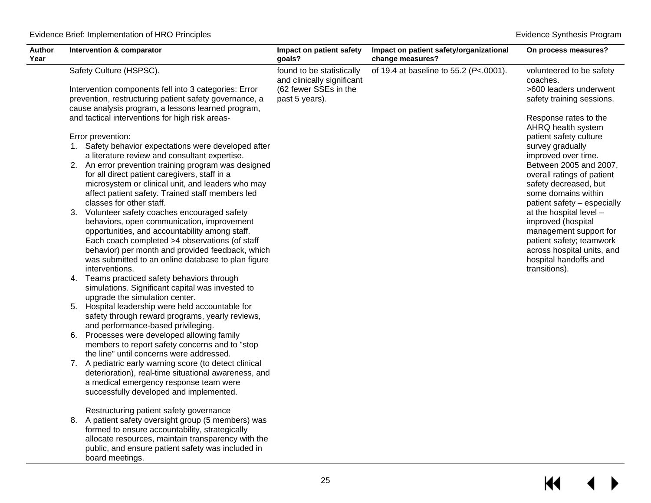| Safety Culture (HSPSC).<br>of 19.4 at baseline to 55.2 (P<.0001).<br>found to be statistically<br>and clinically significant<br>coaches.<br>(62 fewer SSEs in the<br>Intervention components fell into 3 categories: Error<br>prevention, restructuring patient safety governance, a<br>past 5 years).<br>cause analysis program, a lessons learned program,<br>and tactical interventions for high risk areas-<br>Error prevention:<br>1. Safety behavior expectations were developed after<br>survey gradually<br>a literature review and consultant expertise.<br>improved over time.<br>2. An error prevention training program was designed<br>for all direct patient caregivers, staff in a<br>microsystem or clinical unit, and leaders who may<br>affect patient safety. Trained staff members led<br>classes for other staff.<br>Volunteer safety coaches encouraged safety<br>3.                                                                                                                                                                                                                                                                                                                                                      | Author<br>Year | Intervention & comparator | Impact on patient safety<br>goals? | Impact on patient safety/organizational<br>change measures? | On process measures?                                                                                                                                                                                                                                                                                                                                                                                                                    |  |
|-------------------------------------------------------------------------------------------------------------------------------------------------------------------------------------------------------------------------------------------------------------------------------------------------------------------------------------------------------------------------------------------------------------------------------------------------------------------------------------------------------------------------------------------------------------------------------------------------------------------------------------------------------------------------------------------------------------------------------------------------------------------------------------------------------------------------------------------------------------------------------------------------------------------------------------------------------------------------------------------------------------------------------------------------------------------------------------------------------------------------------------------------------------------------------------------------------------------------------------------------|----------------|---------------------------|------------------------------------|-------------------------------------------------------------|-----------------------------------------------------------------------------------------------------------------------------------------------------------------------------------------------------------------------------------------------------------------------------------------------------------------------------------------------------------------------------------------------------------------------------------------|--|
| behaviors, open communication, improvement<br>improved (hospital<br>opportunities, and accountability among staff.<br>Each coach completed >4 observations (of staff<br>behavior) per month and provided feedback, which<br>was submitted to an online database to plan figure<br>interventions.<br>transitions).<br>Teams practiced safety behaviors through<br>4.<br>simulations. Significant capital was invested to<br>upgrade the simulation center.<br>5. Hospital leadership were held accountable for<br>safety through reward programs, yearly reviews,<br>and performance-based privileging.<br>Processes were developed allowing family<br>6.<br>members to report safety concerns and to "stop<br>the line" until concerns were addressed.<br>7. A pediatric early warning score (to detect clinical<br>deterioration), real-time situational awareness, and<br>a medical emergency response team were<br>successfully developed and implemented.<br>Restructuring patient safety governance<br>8. A patient safety oversight group (5 members) was<br>formed to ensure accountability, strategically<br>allocate resources, maintain transparency with the<br>public, and ensure patient safety was included in<br>board meetings. |                |                           |                                    |                                                             | volunteered to be safety<br>>600 leaders underwent<br>safety training sessions.<br>Response rates to the<br>AHRQ health system<br>patient safety culture<br>Between 2005 and 2007,<br>overall ratings of patient<br>safety decreased, but<br>some domains within<br>patient safety - especially<br>at the hospital level -<br>management support for<br>patient safety; teamwork<br>across hospital units, and<br>hospital handoffs and |  |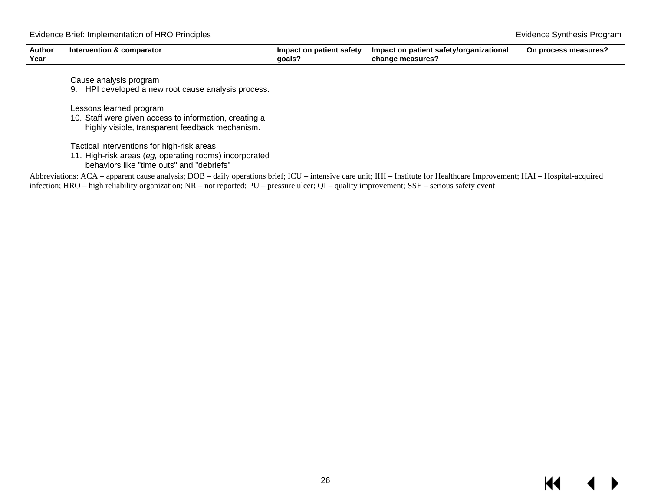| <b>Author</b><br>Year | Intervention & comparator                                                                                 | Impact on patient safety<br>qoals?                                                                                   | Impact on patient safety/organizational<br>change measures? | On process measures?                                                                                                                                                                                                                                                                                                               |
|-----------------------|-----------------------------------------------------------------------------------------------------------|----------------------------------------------------------------------------------------------------------------------|-------------------------------------------------------------|------------------------------------------------------------------------------------------------------------------------------------------------------------------------------------------------------------------------------------------------------------------------------------------------------------------------------------|
|                       | Cause analysis program                                                                                    |                                                                                                                      |                                                             |                                                                                                                                                                                                                                                                                                                                    |
|                       | 9. HPI developed a new root cause analysis process.                                                       |                                                                                                                      |                                                             |                                                                                                                                                                                                                                                                                                                                    |
|                       | Lessons learned program                                                                                   |                                                                                                                      |                                                             |                                                                                                                                                                                                                                                                                                                                    |
|                       | 10. Staff were given access to information, creating a<br>highly visible, transparent feedback mechanism. |                                                                                                                      |                                                             |                                                                                                                                                                                                                                                                                                                                    |
|                       | Tactical interventions for high-risk areas                                                                |                                                                                                                      |                                                             |                                                                                                                                                                                                                                                                                                                                    |
|                       | 11. High-risk areas (eg, operating rooms) incorporated<br>behaviors like "time outs" and "debriefs"       |                                                                                                                      |                                                             |                                                                                                                                                                                                                                                                                                                                    |
|                       | $\sim$                                                                                                    | $\mathbf{1}$ $\mathbf{2}$ $\mathbf{3}$ $\mathbf{4}$ $\mathbf{5}$ $\mathbf{6}$ $\mathbf{7}$ $\mathbf{7}$ $\mathbf{8}$ | $\cdots$ where $\cdots$ and $\cdots$                        | $\mathbf{r}$ $\mathbf{r}$ $\mathbf{r}$ $\mathbf{r}$ $\mathbf{r}$ $\mathbf{r}$ $\mathbf{r}$ $\mathbf{r}$ $\mathbf{r}$ $\mathbf{r}$ $\mathbf{r}$ $\mathbf{r}$ $\mathbf{r}$ $\mathbf{r}$ $\mathbf{r}$ $\mathbf{r}$ $\mathbf{r}$ $\mathbf{r}$ $\mathbf{r}$ $\mathbf{r}$ $\mathbf{r}$ $\mathbf{r}$ $\mathbf{r}$ $\mathbf{r}$ $\mathbf{$ |

Abbreviations: ACA – apparent cause analysis; DOB – daily operations brief; ICU – intensive care unit; IHI – Institute for Healthcare Improvement; HAI – Hospital-acquired infection; HRO – high reliability organization; NR – not reported; PU – pressure ulcer; QI – quality improvement; SSE – serious safety event

#### $\blacktriangleleft$  $\blacktriangleright$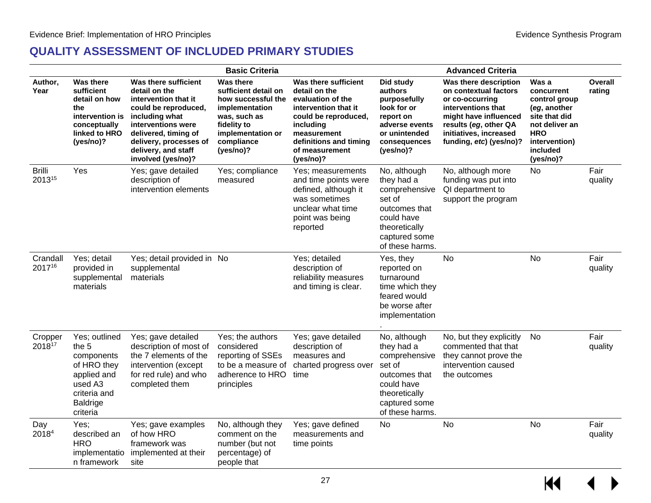#### **QUALITY ASSESSMENT OF INCLUDED PRIMARY STUDIES**

<span id="page-28-0"></span>

|                         |                                                                                                                              |                                                                                                                                                                                                                              | <b>Basic Criteria</b>                                                                                                                                    |                                                                                                                                                                                                 |                                                                                                                                           | <b>Advanced Criteria</b>                                                                                                                                                                       |                                                                                                                                                 |                          |
|-------------------------|------------------------------------------------------------------------------------------------------------------------------|------------------------------------------------------------------------------------------------------------------------------------------------------------------------------------------------------------------------------|----------------------------------------------------------------------------------------------------------------------------------------------------------|-------------------------------------------------------------------------------------------------------------------------------------------------------------------------------------------------|-------------------------------------------------------------------------------------------------------------------------------------------|------------------------------------------------------------------------------------------------------------------------------------------------------------------------------------------------|-------------------------------------------------------------------------------------------------------------------------------------------------|--------------------------|
| Author,<br>Year         | <b>Was there</b><br>sufficient<br>detail on how<br>the<br>intervention is<br>conceptually<br>linked to HRO<br>(yes/no)?      | Was there sufficient<br>detail on the<br>intervention that it<br>could be reproduced,<br>including what<br>interventions were<br>delivered, timing of<br>delivery, processes of<br>delivery, and staff<br>involved (yes/no)? | Was there<br>sufficient detail on<br>how successful the<br>implementation<br>was, such as<br>fidelity to<br>implementation or<br>compliance<br>(yes/no)? | Was there sufficient<br>detail on the<br>evaluation of the<br>intervention that it<br>could be reproduced,<br>including<br>measurement<br>definitions and timing<br>of measurement<br>(yes/no)? | Did study<br>authors<br>purposefully<br>look for or<br>report on<br>adverse events<br>or unintended<br>consequences<br>(yes/no)?          | Was there description<br>on contextual factors<br>or co-occurring<br>interventions that<br>might have influenced<br>results (eg, other QA<br>initiatives, increased<br>funding, etc) (yes/no)? | Was a<br>concurrent<br>control group<br>(eg, another<br>site that did<br>not deliver an<br><b>HRO</b><br>intervention)<br>included<br>(yes/no)? | <b>Overall</b><br>rating |
| <b>Brilli</b><br>201315 | Yes                                                                                                                          | Yes; gave detailed<br>description of<br>intervention elements                                                                                                                                                                | Yes; compliance<br>measured                                                                                                                              | Yes; measurements<br>and time points were<br>defined, although it<br>was sometimes<br>unclear what time<br>point was being<br>reported                                                          | No, although<br>they had a<br>comprehensive<br>set of<br>outcomes that<br>could have<br>theoretically<br>captured some<br>of these harms. | No, although more<br>funding was put into<br>QI department to<br>support the program                                                                                                           | No                                                                                                                                              | Fair<br>quality          |
| Crandall<br>201716      | Yes; detail<br>provided in<br>supplemental<br>materials                                                                      | Yes; detail provided in No<br>supplemental<br>materials                                                                                                                                                                      |                                                                                                                                                          | Yes; detailed<br>description of<br>reliability measures<br>and timing is clear.                                                                                                                 | Yes, they<br>reported on<br>turnaround<br>time which they<br>feared would<br>be worse after<br>implementation                             | <b>No</b>                                                                                                                                                                                      | <b>No</b>                                                                                                                                       | Fair<br>quality          |
| Cropper<br>201817       | Yes; outlined<br>the 5<br>components<br>of HRO they<br>applied and<br>used A3<br>criteria and<br><b>Baldrige</b><br>criteria | Yes; gave detailed<br>description of most of<br>the 7 elements of the<br>intervention (except<br>for red rule) and who<br>completed them                                                                                     | Yes; the authors<br>considered<br>reporting of SSEs<br>to be a measure of<br>adherence to HRO<br>principles                                              | Yes; gave detailed<br>description of<br>measures and<br>charted progress over<br>time                                                                                                           | No, although<br>they had a<br>comprehensive<br>set of<br>outcomes that<br>could have<br>theoretically<br>captured some<br>of these harms. | No, but they explicitly<br>commented that that<br>they cannot prove the<br>intervention caused<br>the outcomes                                                                                 | No.                                                                                                                                             | Fair<br>quality          |
| Day<br>20184            | Yes;<br>described an<br><b>HRO</b><br>implementatio<br>n framework                                                           | Yes; gave examples<br>of how HRO<br>framework was<br>implemented at their<br>site                                                                                                                                            | No, although they<br>comment on the<br>number (but not<br>percentage) of<br>people that                                                                  | Yes; gave defined<br>measurements and<br>time points                                                                                                                                            | <b>No</b>                                                                                                                                 | No                                                                                                                                                                                             | No                                                                                                                                              | Fair<br>quality          |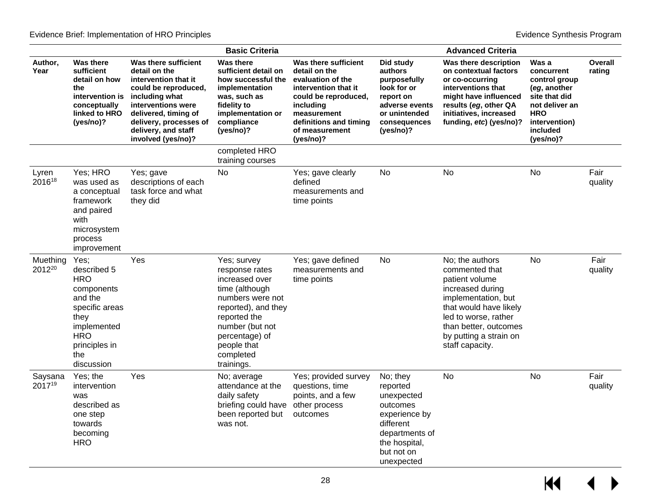|                    |                                                                                                                                                         |                                                                                                                                                                                                                              | <b>Basic Criteria</b>                                                                                                                                                                                       |                                                                                                                                                                                                 |                                                                                                                                             | <b>Advanced Criteria</b>                                                                                                                                                                                               |                                                                                                                                                 |                          |
|--------------------|---------------------------------------------------------------------------------------------------------------------------------------------------------|------------------------------------------------------------------------------------------------------------------------------------------------------------------------------------------------------------------------------|-------------------------------------------------------------------------------------------------------------------------------------------------------------------------------------------------------------|-------------------------------------------------------------------------------------------------------------------------------------------------------------------------------------------------|---------------------------------------------------------------------------------------------------------------------------------------------|------------------------------------------------------------------------------------------------------------------------------------------------------------------------------------------------------------------------|-------------------------------------------------------------------------------------------------------------------------------------------------|--------------------------|
| Author,<br>Year    | <b>Was there</b><br>sufficient<br>detail on how<br>the<br>intervention is<br>conceptually<br>linked to HRO<br>(yes/no)?                                 | Was there sufficient<br>detail on the<br>intervention that it<br>could be reproduced,<br>including what<br>interventions were<br>delivered, timing of<br>delivery, processes of<br>delivery, and staff<br>involved (yes/no)? | <b>Was there</b><br>sufficient detail on<br>how successful the<br>implementation<br>was, such as<br>fidelity to<br>implementation or<br>compliance<br>(yes/no)?                                             | Was there sufficient<br>detail on the<br>evaluation of the<br>intervention that it<br>could be reproduced,<br>including<br>measurement<br>definitions and timing<br>of measurement<br>(yes/no)? | Did study<br>authors<br>purposefully<br>look for or<br>report on<br>adverse events<br>or unintended<br>consequences<br>(yes/no)?            | Was there description<br>on contextual factors<br>or co-occurring<br>interventions that<br>might have influenced<br>results (eg, other QA<br>initiatives, increased<br>funding, etc) (yes/no)?                         | Was a<br>concurrent<br>control group<br>(eg, another<br>site that did<br>not deliver an<br><b>HRO</b><br>intervention)<br>included<br>(yes/no)? | <b>Overall</b><br>rating |
|                    |                                                                                                                                                         |                                                                                                                                                                                                                              | completed HRO<br>training courses                                                                                                                                                                           |                                                                                                                                                                                                 |                                                                                                                                             |                                                                                                                                                                                                                        |                                                                                                                                                 |                          |
| Lyren<br>201618    | Yes; HRO<br>was used as<br>a conceptual<br>framework<br>and paired<br>with<br>microsystem<br>process<br>improvement                                     | Yes; gave<br>descriptions of each<br>task force and what<br>they did                                                                                                                                                         | <b>No</b>                                                                                                                                                                                                   | Yes; gave clearly<br>defined<br>measurements and<br>time points                                                                                                                                 | No                                                                                                                                          | <b>No</b>                                                                                                                                                                                                              | <b>No</b>                                                                                                                                       | Fair<br>quality          |
| Muething<br>201220 | Yes;<br>described 5<br><b>HRO</b><br>components<br>and the<br>specific areas<br>they<br>implemented<br><b>HRO</b><br>principles in<br>the<br>discussion | Yes                                                                                                                                                                                                                          | Yes; survey<br>response rates<br>increased over<br>time (although<br>numbers were not<br>reported), and they<br>reported the<br>number (but not<br>percentage) of<br>people that<br>completed<br>trainings. | Yes; gave defined<br>measurements and<br>time points                                                                                                                                            | <b>No</b>                                                                                                                                   | No; the authors<br>commented that<br>patient volume<br>increased during<br>implementation, but<br>that would have likely<br>led to worse, rather<br>than better, outcomes<br>by putting a strain on<br>staff capacity. | <b>No</b>                                                                                                                                       | Fair<br>quality          |
| Saysana<br>201719  | Yes; the<br>intervention<br>was<br>described as<br>one step<br>towards<br>becoming<br><b>HRO</b>                                                        | Yes                                                                                                                                                                                                                          | No; average<br>attendance at the<br>daily safety<br>briefing could have other process<br>been reported but<br>was not.                                                                                      | Yes; provided survey<br>questions, time<br>points, and a few<br>outcomes                                                                                                                        | No; they<br>reported<br>unexpected<br>outcomes<br>experience by<br>different<br>departments of<br>the hospital,<br>but not on<br>unexpected | <b>No</b>                                                                                                                                                                                                              | No                                                                                                                                              | Fair<br>quality          |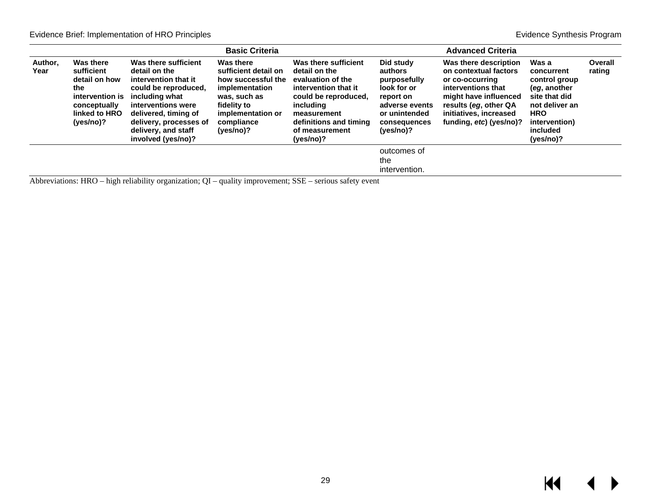|                 |                                                                                                                         |                                                                                                                                                                                                                                                                                                                                 | <b>Basic Criteria</b>                                                                                                                                    |                                                                                                                                                                                                 |                                                                                                                                  | <b>Advanced Criteria</b>                                                                                                                                                                       |                                                                                                                                                 |                   |
|-----------------|-------------------------------------------------------------------------------------------------------------------------|---------------------------------------------------------------------------------------------------------------------------------------------------------------------------------------------------------------------------------------------------------------------------------------------------------------------------------|----------------------------------------------------------------------------------------------------------------------------------------------------------|-------------------------------------------------------------------------------------------------------------------------------------------------------------------------------------------------|----------------------------------------------------------------------------------------------------------------------------------|------------------------------------------------------------------------------------------------------------------------------------------------------------------------------------------------|-------------------------------------------------------------------------------------------------------------------------------------------------|-------------------|
| Author,<br>Year | <b>Was there</b><br>sufficient<br>detail on how<br>the<br>intervention is<br>conceptually<br>linked to HRO<br>(yes/no)? | Was there sufficient<br>detail on the<br>intervention that it<br>could be reproduced.<br>including what<br>interventions were<br>delivered, timing of<br>delivery, processes of<br>delivery, and staff<br>involved (yes/no)?                                                                                                    | Was there<br>sufficient detail on<br>how successful the<br>implementation<br>was, such as<br>fidelity to<br>implementation or<br>compliance<br>(yes/no)? | Was there sufficient<br>detail on the<br>evaluation of the<br>intervention that it<br>could be reproduced.<br>including<br>measurement<br>definitions and timing<br>of measurement<br>(yes/no)? | Did study<br>authors<br>purposefully<br>look for or<br>report on<br>adverse events<br>or unintended<br>consequences<br>(yes/no)? | Was there description<br>on contextual factors<br>or co-occurring<br>interventions that<br>might have influenced<br>results (eq. other QA<br>initiatives, increased<br>funding, etc) (yes/no)? | Was a<br>concurrent<br>control group<br>(eg. another<br>site that did<br>not deliver an<br><b>HRO</b><br>intervention)<br>included<br>(yes/no)? | Overall<br>rating |
|                 |                                                                                                                         | $\Lambda$ bless decisions in $\Lambda$ and $\Lambda$ definition of $\Lambda$ and $\Lambda$ and $\Lambda$ is the contract of $\Lambda$ and $\Lambda$ and $\Lambda$ and $\Lambda$ and $\Lambda$ and $\Lambda$ and $\Lambda$ and $\Lambda$ and $\Lambda$ and $\Lambda$ and $\Lambda$ and $\Lambda$ and $\Lambda$ and $\Lambda$ and |                                                                                                                                                          |                                                                                                                                                                                                 | outcomes of<br>the<br>intervention.                                                                                              |                                                                                                                                                                                                |                                                                                                                                                 |                   |

Abbreviations: HRO – high reliability organization; QI – quality improvement; SSE – serious safety event

 $M \rightarrow$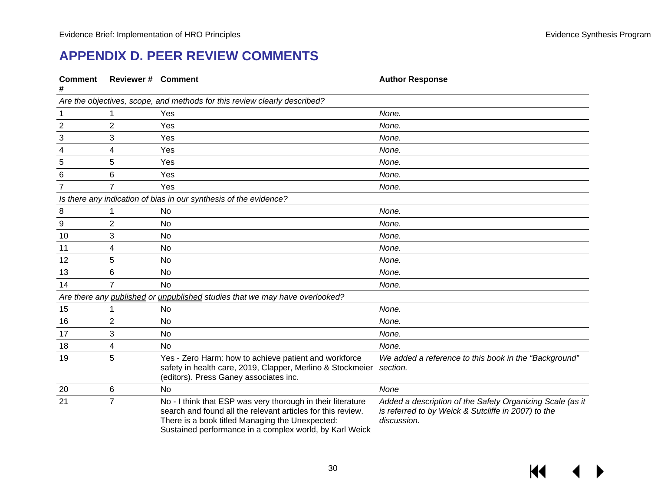$M$ 

## **APPENDIX D. PEER REVIEW COMMENTS**

<span id="page-31-0"></span>

| <b>Comment</b>   | <b>Reviewer # Comment</b> |                                                                                                                                                                                                                                          | <b>Author Response</b>                                                                                                          |
|------------------|---------------------------|------------------------------------------------------------------------------------------------------------------------------------------------------------------------------------------------------------------------------------------|---------------------------------------------------------------------------------------------------------------------------------|
|                  |                           | Are the objectives, scope, and methods for this review clearly described?                                                                                                                                                                |                                                                                                                                 |
| 1                |                           | Yes                                                                                                                                                                                                                                      | None.                                                                                                                           |
| $\overline{2}$   | 2                         | Yes                                                                                                                                                                                                                                      | None.                                                                                                                           |
| 3                | 3                         | Yes                                                                                                                                                                                                                                      | None.                                                                                                                           |
| 4                | 4                         | Yes                                                                                                                                                                                                                                      | None.                                                                                                                           |
| 5                | 5                         | Yes                                                                                                                                                                                                                                      | None.                                                                                                                           |
| $6\phantom{1}6$  | 6                         | Yes                                                                                                                                                                                                                                      | None.                                                                                                                           |
| $\overline{7}$   | 7                         | Yes                                                                                                                                                                                                                                      | None.                                                                                                                           |
|                  |                           | Is there any indication of bias in our synthesis of the evidence?                                                                                                                                                                        |                                                                                                                                 |
| 8                |                           | <b>No</b>                                                                                                                                                                                                                                | None.                                                                                                                           |
| $\boldsymbol{9}$ | $\overline{2}$            | <b>No</b>                                                                                                                                                                                                                                | None.                                                                                                                           |
| 10               | 3                         | No                                                                                                                                                                                                                                       | None.                                                                                                                           |
| 11               | 4                         | No                                                                                                                                                                                                                                       | None.                                                                                                                           |
| 12               | 5                         | No                                                                                                                                                                                                                                       | None.                                                                                                                           |
| 13               | 6                         | No                                                                                                                                                                                                                                       | None.                                                                                                                           |
| 14               | 7                         | <b>No</b>                                                                                                                                                                                                                                | None.                                                                                                                           |
|                  |                           | Are there any published or unpublished studies that we may have overlooked?                                                                                                                                                              |                                                                                                                                 |
| 15               |                           | No                                                                                                                                                                                                                                       | None.                                                                                                                           |
| 16               | 2                         | No                                                                                                                                                                                                                                       | None.                                                                                                                           |
| 17               | 3                         | <b>No</b>                                                                                                                                                                                                                                | None.                                                                                                                           |
| 18               | 4                         | No                                                                                                                                                                                                                                       | None.                                                                                                                           |
| 19               | 5                         | Yes - Zero Harm: how to achieve patient and workforce<br>safety in health care, 2019, Clapper, Merlino & Stockmeier<br>(editors). Press Ganey associates inc.                                                                            | We added a reference to this book in the "Background"<br>section.                                                               |
| 20               | 6                         | No                                                                                                                                                                                                                                       | None                                                                                                                            |
| 21               | $\overline{7}$            | No - I think that ESP was very thorough in their literature<br>search and found all the relevant articles for this review.<br>There is a book titled Managing the Unexpected:<br>Sustained performance in a complex world, by Karl Weick | Added a description of the Safety Organizing Scale (as it<br>is referred to by Weick & Sutcliffe in 2007) to the<br>discussion. |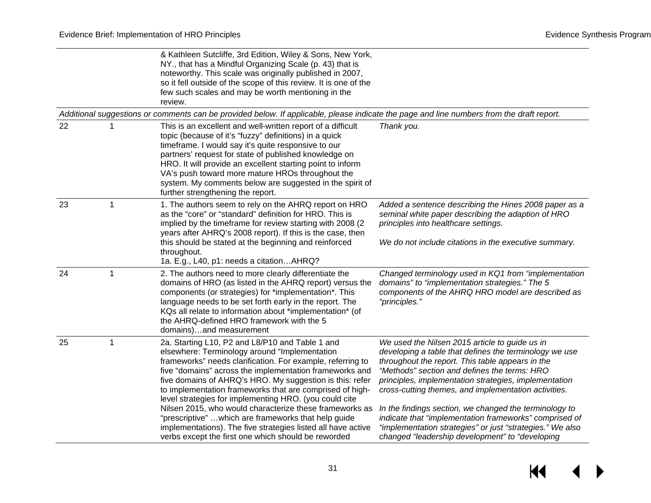|    |   | & Kathleen Sutcliffe, 3rd Edition, Wiley & Sons, New York,<br>NY., that has a Mindful Organizing Scale (p. 43) that is<br>noteworthy. This scale was originally published in 2007,<br>so it fell outside of the scope of this review. It is one of the<br>few such scales and may be worth mentioning in the<br>review.                                                                                                                                                                                                                                                                                                                               |                                                                                                                                                                                                                                                                                                                                                                                                                                                                                                                                                                   |
|----|---|-------------------------------------------------------------------------------------------------------------------------------------------------------------------------------------------------------------------------------------------------------------------------------------------------------------------------------------------------------------------------------------------------------------------------------------------------------------------------------------------------------------------------------------------------------------------------------------------------------------------------------------------------------|-------------------------------------------------------------------------------------------------------------------------------------------------------------------------------------------------------------------------------------------------------------------------------------------------------------------------------------------------------------------------------------------------------------------------------------------------------------------------------------------------------------------------------------------------------------------|
|    |   | Additional suggestions or comments can be provided below. If applicable, please indicate the page and line numbers from the draft report.                                                                                                                                                                                                                                                                                                                                                                                                                                                                                                             |                                                                                                                                                                                                                                                                                                                                                                                                                                                                                                                                                                   |
| 22 |   | This is an excellent and well-written report of a difficult<br>topic (because of it's "fuzzy" definitions) in a quick<br>timeframe. I would say it's quite responsive to our<br>partners' request for state of published knowledge on<br>HRO. It will provide an excellent starting point to inform<br>VA's push toward more mature HROs throughout the<br>system. My comments below are suggested in the spirit of<br>further strengthening the report.                                                                                                                                                                                              | Thank you.                                                                                                                                                                                                                                                                                                                                                                                                                                                                                                                                                        |
| 23 | 1 | 1. The authors seem to rely on the AHRQ report on HRO<br>as the "core" or "standard" definition for HRO. This is<br>implied by the timeframe for review starting with 2008 (2)<br>years after AHRQ's 2008 report). If this is the case, then<br>this should be stated at the beginning and reinforced<br>throughout.<br>1a. E.g., L40, p1: needs a citationAHRQ?                                                                                                                                                                                                                                                                                      | Added a sentence describing the Hines 2008 paper as a<br>seminal white paper describing the adaption of HRO<br>principles into healthcare settings.<br>We do not include citations in the executive summary.                                                                                                                                                                                                                                                                                                                                                      |
| 24 | 1 | 2. The authors need to more clearly differentiate the<br>domains of HRO (as listed in the AHRQ report) versus the<br>components (or strategies) for *implementation*. This<br>language needs to be set forth early in the report. The<br>KQs all relate to information about *implementation* (of<br>the AHRQ-defined HRO framework with the 5<br>domains)and measurement                                                                                                                                                                                                                                                                             | Changed terminology used in KQ1 from "implementation<br>domains" to "implementation strategies." The 5<br>components of the AHRQ HRO model are described as<br>"principles."                                                                                                                                                                                                                                                                                                                                                                                      |
| 25 | 1 | 2a. Starting L10, P2 and L8/P10 and Table 1 and<br>elsewhere: Terminology around "Implementation<br>frameworks" needs clarification. For example, referring to<br>five "domains" across the implementation frameworks and<br>five domains of AHRQ's HRO. My suggestion is this: refer<br>to implementation frameworks that are comprised of high-<br>level strategies for implementing HRO. (you could cite<br>Nilsen 2015, who would characterize these frameworks as<br>"prescriptive"  which are frameworks that help guide<br>implementations). The five strategies listed all have active<br>verbs except the first one which should be reworded | We used the Nilsen 2015 article to guide us in<br>developing a table that defines the terminology we use<br>throughout the report. This table appears in the<br>"Methods" section and defines the terms: HRO<br>principles, implementation strategies, implementation<br>cross-cutting themes, and implementation activities.<br>In the findings section, we changed the terminology to<br>indicate that "implementation frameworks" comprised of<br>"implementation strategies" or just "strategies." We also<br>changed "leadership development" to "developing |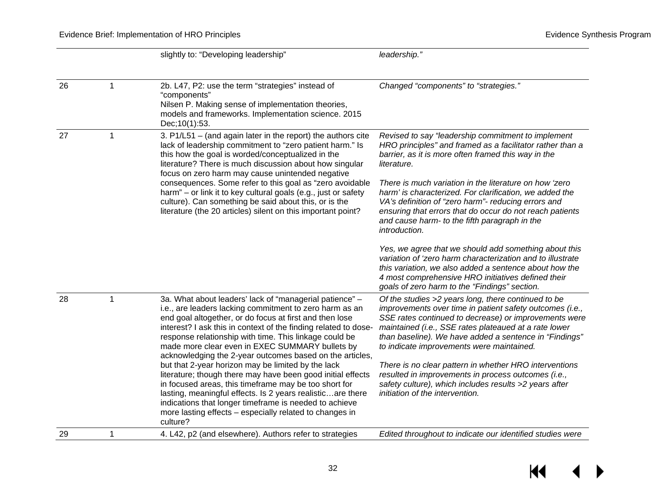|    |              | slightly to: "Developing leadership"                                                                                                                                                                                                                                                                                                                                                                                                                                                                                                                                                                                                                                                                                                                                                                   | leadership."                                                                                                                                                                                                                                                                                                                                                                                                                                                                                                                                           |
|----|--------------|--------------------------------------------------------------------------------------------------------------------------------------------------------------------------------------------------------------------------------------------------------------------------------------------------------------------------------------------------------------------------------------------------------------------------------------------------------------------------------------------------------------------------------------------------------------------------------------------------------------------------------------------------------------------------------------------------------------------------------------------------------------------------------------------------------|--------------------------------------------------------------------------------------------------------------------------------------------------------------------------------------------------------------------------------------------------------------------------------------------------------------------------------------------------------------------------------------------------------------------------------------------------------------------------------------------------------------------------------------------------------|
|    |              |                                                                                                                                                                                                                                                                                                                                                                                                                                                                                                                                                                                                                                                                                                                                                                                                        |                                                                                                                                                                                                                                                                                                                                                                                                                                                                                                                                                        |
| 26 | $\mathbf{1}$ | 2b. L47, P2: use the term "strategies" instead of<br>"components"<br>Nilsen P. Making sense of implementation theories,<br>models and frameworks. Implementation science. 2015<br>Dec; 10(1): 53.                                                                                                                                                                                                                                                                                                                                                                                                                                                                                                                                                                                                      | Changed "components" to "strategies."                                                                                                                                                                                                                                                                                                                                                                                                                                                                                                                  |
| 27 | 1            | 3. P1/L51 - (and again later in the report) the authors cite<br>lack of leadership commitment to "zero patient harm." Is<br>this how the goal is worded/conceptualized in the<br>literature? There is much discussion about how singular<br>focus on zero harm may cause unintended negative<br>consequences. Some refer to this goal as "zero avoidable<br>harm" – or link it to key cultural goals (e.g., just or safety<br>culture). Can something be said about this, or is the<br>literature (the 20 articles) silent on this important point?                                                                                                                                                                                                                                                    | Revised to say "leadership commitment to implement<br>HRO principles" and framed as a facilitator rather than a<br>barrier, as it is more often framed this way in the<br>literature.<br>There is much variation in the literature on how 'zero<br>harm' is characterized. For clarification, we added the<br>VA's definition of "zero harm"- reducing errors and<br>ensuring that errors that do occur do not reach patients<br>and cause harm- to the fifth paragraph in the<br>introduction.                                                        |
|    |              |                                                                                                                                                                                                                                                                                                                                                                                                                                                                                                                                                                                                                                                                                                                                                                                                        | Yes, we agree that we should add something about this<br>variation of 'zero harm characterization and to illustrate<br>this variation, we also added a sentence about how the<br>4 most comprehensive HRO initiatives defined their<br>goals of zero harm to the "Findings" section.                                                                                                                                                                                                                                                                   |
| 28 | 1            | 3a. What about leaders' lack of "managerial patience" -<br>i.e., are leaders lacking commitment to zero harm as an<br>end goal altogether, or do focus at first and then lose<br>interest? I ask this in context of the finding related to dose-<br>response relationship with time. This linkage could be<br>made more clear even in EXEC SUMMARY bullets by<br>acknowledging the 2-year outcomes based on the articles,<br>but that 2-year horizon may be limited by the lack<br>literature; though there may have been good initial effects<br>in focused areas, this timeframe may be too short for<br>lasting, meaningful effects. Is 2 years realisticare there<br>indications that longer timeframe is needed to achieve<br>more lasting effects - especially related to changes in<br>culture? | Of the studies >2 years long, there continued to be<br>improvements over time in patient safety outcomes (i.e.,<br>SSE rates continued to decrease) or improvements were<br>maintained (i.e., SSE rates plateaued at a rate lower<br>than baseline). We have added a sentence in "Findings"<br>to indicate improvements were maintained.<br>There is no clear pattern in whether HRO interventions<br>resulted in improvements in process outcomes (i.e.,<br>safety culture), which includes results >2 years after<br>initiation of the intervention. |
| 29 | 1            | 4. L42, p2 (and elsewhere). Authors refer to strategies                                                                                                                                                                                                                                                                                                                                                                                                                                                                                                                                                                                                                                                                                                                                                | Edited throughout to indicate our identified studies were                                                                                                                                                                                                                                                                                                                                                                                                                                                                                              |
|    |              |                                                                                                                                                                                                                                                                                                                                                                                                                                                                                                                                                                                                                                                                                                                                                                                                        |                                                                                                                                                                                                                                                                                                                                                                                                                                                                                                                                                        |

 $\leftrightarrow$  $\overline{\mathbf{M}}$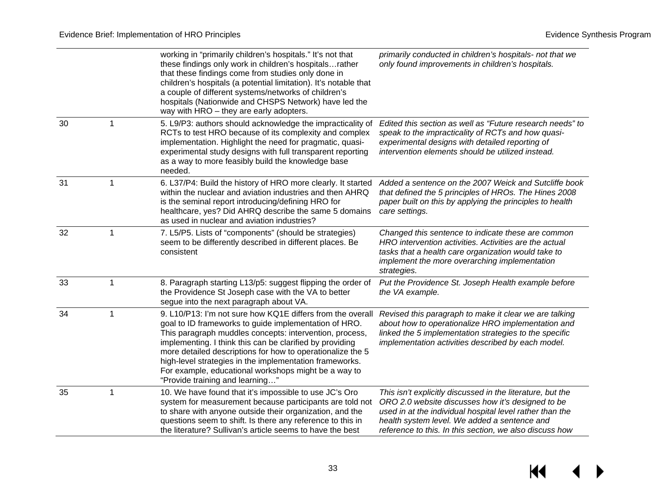$M \leftarrow \leftarrow$ 

|    |                | working in "primarily children's hospitals." It's not that<br>these findings only work in children's hospitalsrather<br>that these findings come from studies only done in<br>children's hospitals (a potential limitation). It's notable that<br>a couple of different systems/networks of children's<br>hospitals (Nationwide and CHSPS Network) have led the<br>way with HRO - they are early adopters.                                                     | primarily conducted in children's hospitals- not that we<br>only found improvements in children's hospitals.                                                                                                                                                                           |
|----|----------------|----------------------------------------------------------------------------------------------------------------------------------------------------------------------------------------------------------------------------------------------------------------------------------------------------------------------------------------------------------------------------------------------------------------------------------------------------------------|----------------------------------------------------------------------------------------------------------------------------------------------------------------------------------------------------------------------------------------------------------------------------------------|
| 30 | 1              | 5. L9/P3: authors should acknowledge the impracticality of<br>RCTs to test HRO because of its complexity and complex<br>implementation. Highlight the need for pragmatic, quasi-<br>experimental study designs with full transparent reporting<br>as a way to more feasibly build the knowledge base<br>needed.                                                                                                                                                | Edited this section as well as "Future research needs" to<br>speak to the impracticality of RCTs and how quasi-<br>experimental designs with detailed reporting of<br>intervention elements should be utilized instead.                                                                |
| 31 | $\overline{1}$ | 6. L37/P4: Build the history of HRO more clearly. It started<br>within the nuclear and aviation industries and then AHRQ<br>is the seminal report introducing/defining HRO for<br>healthcare, yes? Did AHRQ describe the same 5 domains<br>as used in nuclear and aviation industries?                                                                                                                                                                         | Added a sentence on the 2007 Weick and Sutcliffe book<br>that defined the 5 principles of HROs. The Hines 2008<br>paper built on this by applying the principles to health<br>care settings.                                                                                           |
| 32 | 1              | 7. L5/P5. Lists of "components" (should be strategies)<br>seem to be differently described in different places. Be<br>consistent                                                                                                                                                                                                                                                                                                                               | Changed this sentence to indicate these are common<br>HRO intervention activities. Activities are the actual<br>tasks that a health care organization would take to<br>implement the more overarching implementation<br>strategies.                                                    |
| 33 | 1              | 8. Paragraph starting L13/p5: suggest flipping the order of<br>the Providence St Joseph case with the VA to better<br>segue into the next paragraph about VA.                                                                                                                                                                                                                                                                                                  | Put the Providence St. Joseph Health example before<br>the VA example.                                                                                                                                                                                                                 |
| 34 | -1             | 9. L10/P13: I'm not sure how KQ1E differs from the overall<br>goal to ID frameworks to guide implementation of HRO.<br>This paragraph muddles concepts: intervention, process,<br>implementing. I think this can be clarified by providing<br>more detailed descriptions for how to operationalize the 5<br>high-level strategies in the implementation frameworks.<br>For example, educational workshops might be a way to<br>"Provide training and learning" | Revised this paragraph to make it clear we are talking<br>about how to operationalize HRO implementation and<br>linked the 5 implementation strategies to the specific<br>implementation activities described by each model.                                                           |
| 35 | $\mathbf 1$    | 10. We have found that it's impossible to use JC's Oro<br>system for measurement because participants are told not<br>to share with anyone outside their organization, and the<br>questions seem to shift. Is there any reference to this in<br>the literature? Sullivan's article seems to have the best                                                                                                                                                      | This isn't explicitly discussed in the literature, but the<br>ORO 2.0 website discusses how it's designed to be<br>used in at the individual hospital level rather than the<br>health system level. We added a sentence and<br>reference to this. In this section, we also discuss how |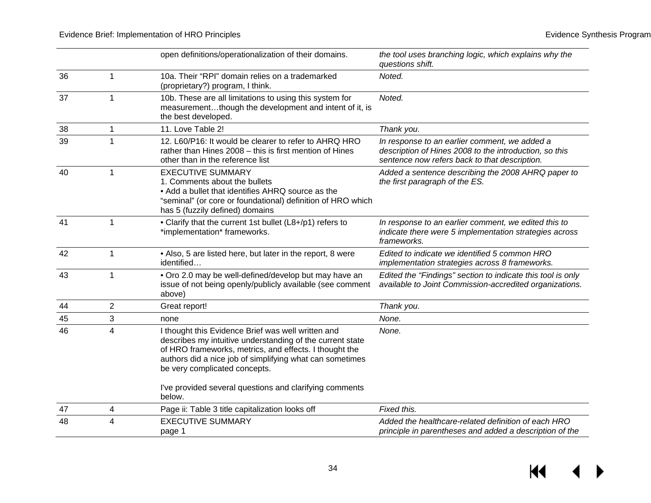$M \rightarrow$ 

|    |                | open definitions/operationalization of their domains.                                                                                                                                                                                                                  | the tool uses branching logic, which explains why the<br>questions shift.                                                                                |
|----|----------------|------------------------------------------------------------------------------------------------------------------------------------------------------------------------------------------------------------------------------------------------------------------------|----------------------------------------------------------------------------------------------------------------------------------------------------------|
| 36 | 1              | 10a. Their "RPI" domain relies on a trademarked<br>(proprietary?) program, I think.                                                                                                                                                                                    | Noted.                                                                                                                                                   |
| 37 | 1              | 10b. These are all limitations to using this system for<br>measurementthough the development and intent of it, is<br>the best developed.                                                                                                                               | Noted.                                                                                                                                                   |
| 38 | 1              | 11. Love Table 2!                                                                                                                                                                                                                                                      | Thank you.                                                                                                                                               |
| 39 | 1              | 12. L60/P16: It would be clearer to refer to AHRQ HRO<br>rather than Hines 2008 - this is first mention of Hines<br>other than in the reference list                                                                                                                   | In response to an earlier comment, we added a<br>description of Hines 2008 to the introduction, so this<br>sentence now refers back to that description. |
| 40 | 1              | <b>EXECUTIVE SUMMARY</b><br>1. Comments about the bullets<br>• Add a bullet that identifies AHRQ source as the<br>"seminal" (or core or foundational) definition of HRO which<br>has 5 (fuzzily defined) domains                                                       | Added a sentence describing the 2008 AHRQ paper to<br>the first paragraph of the ES.                                                                     |
| 41 | 1              | • Clarify that the current 1st bullet (L8+/p1) refers to<br>*implementation* frameworks.                                                                                                                                                                               | In response to an earlier comment, we edited this to<br>indicate there were 5 implementation strategies across<br>frameworks.                            |
| 42 | 1              | • Also, 5 are listed here, but later in the report, 8 were<br>identified                                                                                                                                                                                               | Edited to indicate we identified 5 common HRO<br>implementation strategies across 8 frameworks.                                                          |
| 43 | 1              | . Oro 2.0 may be well-defined/develop but may have an<br>issue of not being openly/publicly available (see comment<br>above)                                                                                                                                           | Edited the "Findings" section to indicate this tool is only<br>available to Joint Commission-accredited organizations.                                   |
| 44 | $\overline{2}$ | Great report!                                                                                                                                                                                                                                                          | Thank you.                                                                                                                                               |
| 45 | 3              | none                                                                                                                                                                                                                                                                   | None.                                                                                                                                                    |
| 46 | 4              | I thought this Evidence Brief was well written and<br>describes my intuitive understanding of the current state<br>of HRO frameworks, metrics, and effects. I thought the<br>authors did a nice job of simplifying what can sometimes<br>be very complicated concepts. | None.                                                                                                                                                    |
|    |                | I've provided several questions and clarifying comments<br>below.                                                                                                                                                                                                      |                                                                                                                                                          |
| 47 | 4              | Page ii: Table 3 title capitalization looks off                                                                                                                                                                                                                        | Fixed this.                                                                                                                                              |
| 48 | 4              | <b>EXECUTIVE SUMMARY</b><br>page 1                                                                                                                                                                                                                                     | Added the healthcare-related definition of each HRO<br>principle in parentheses and added a description of the                                           |

34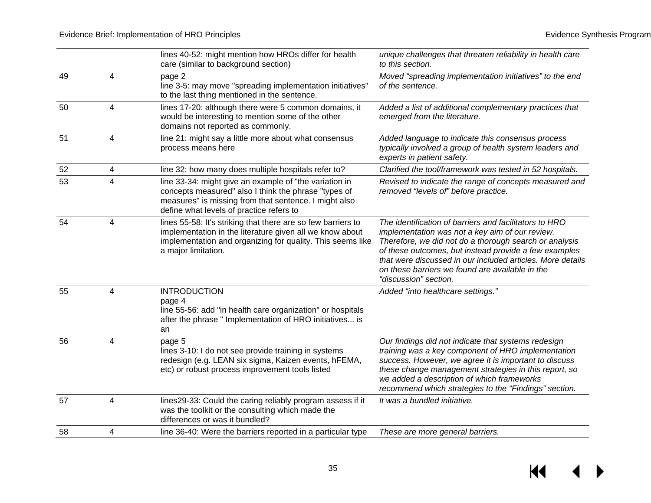$M \rightarrow$ 

|    |                         | lines 40-52: might mention how HROs differ for health<br>care (similar to background section)                                                                                                                       | unique challenges that threaten reliability in health care<br>to this section.                                                                                                                                                                                                                                                                                         |
|----|-------------------------|---------------------------------------------------------------------------------------------------------------------------------------------------------------------------------------------------------------------|------------------------------------------------------------------------------------------------------------------------------------------------------------------------------------------------------------------------------------------------------------------------------------------------------------------------------------------------------------------------|
| 49 | 4                       | page 2<br>line 3-5: may move "spreading implementation initiatives"<br>to the last thing mentioned in the sentence.                                                                                                 | Moved "spreading implementation initiatives" to the end<br>of the sentence.                                                                                                                                                                                                                                                                                            |
| 50 | 4                       | lines 17-20: although there were 5 common domains, it<br>would be interesting to mention some of the other<br>domains not reported as commonly.                                                                     | Added a list of additional complementary practices that<br>emerged from the literature.                                                                                                                                                                                                                                                                                |
| 51 | 4                       | line 21: might say a little more about what consensus<br>process means here                                                                                                                                         | Added language to indicate this consensus process<br>typically involved a group of health system leaders and<br>experts in patient safety.                                                                                                                                                                                                                             |
| 52 | 4                       | line 32: how many does multiple hospitals refer to?                                                                                                                                                                 | Clarified the tool/framework was tested in 52 hospitals.                                                                                                                                                                                                                                                                                                               |
| 53 | $\overline{4}$          | line 33-34: might give an example of "the variation in<br>concepts measured" also I think the phrase "types of<br>measures" is missing from that sentence. I might also<br>define what levels of practice refers to | Revised to indicate the range of concepts measured and<br>removed "levels of" before practice.                                                                                                                                                                                                                                                                         |
| 54 | 4                       | lines 55-58: It's striking that there are so few barriers to<br>implementation in the literature given all we know about<br>implementation and organizing for quality. This seems like<br>a major limitation.       | The identification of barriers and facilitators to HRO<br>implementation was not a key aim of our review.<br>Therefore, we did not do a thorough search or analysis<br>of these outcomes, but instead provide a few examples<br>that were discussed in our included articles. More details<br>on these barriers we found are available in the<br>"discussion" section. |
| 55 | $\overline{\mathbf{4}}$ | <b>INTRODUCTION</b><br>page 4<br>line 55-56: add "in health care organization" or hospitals<br>after the phrase " Implementation of HRO initiatives is<br>an                                                        | Added "into healthcare settings."                                                                                                                                                                                                                                                                                                                                      |
| 56 | 4                       | page 5<br>lines 3-10: I do not see provide training in systems<br>redesign (e.g. LEAN six sigma, Kaizen events, hFEMA,<br>etc) or robust process improvement tools listed                                           | Our findings did not indicate that systems redesign<br>training was a key component of HRO implementation<br>success. However, we agree it is important to discuss<br>these change management strategies in this report, so<br>we added a description of which frameworks<br>recommend which strategies to the "Findings" section.                                     |
| 57 | $\overline{4}$          | lines29-33: Could the caring reliably program assess if it<br>was the toolkit or the consulting which made the<br>differences or was it bundled?                                                                    | It was a bundled initiative.                                                                                                                                                                                                                                                                                                                                           |
| 58 | 4                       | line 36-40: Were the barriers reported in a particular type                                                                                                                                                         | These are more general barriers.                                                                                                                                                                                                                                                                                                                                       |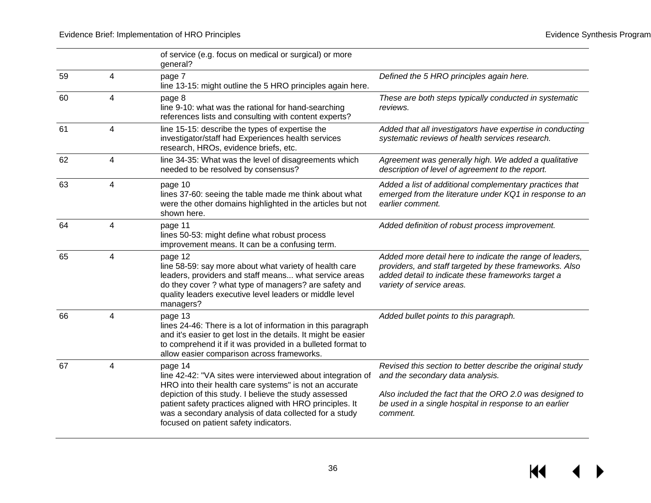$M \leftarrow \leftarrow$ 

|    |   | of service (e.g. focus on medical or surgical) or more<br>general?                                                                                                                                                                                                                                                                                       |                                                                                                                                                                                                                                 |
|----|---|----------------------------------------------------------------------------------------------------------------------------------------------------------------------------------------------------------------------------------------------------------------------------------------------------------------------------------------------------------|---------------------------------------------------------------------------------------------------------------------------------------------------------------------------------------------------------------------------------|
| 59 | 4 | page 7<br>line 13-15: might outline the 5 HRO principles again here.                                                                                                                                                                                                                                                                                     | Defined the 5 HRO principles again here.                                                                                                                                                                                        |
| 60 | 4 | page 8<br>line 9-10: what was the rational for hand-searching<br>references lists and consulting with content experts?                                                                                                                                                                                                                                   | These are both steps typically conducted in systematic<br>reviews.                                                                                                                                                              |
| 61 | 4 | line 15-15: describe the types of expertise the<br>investigator/staff had Experiences health services<br>research, HROs, evidence briefs, etc.                                                                                                                                                                                                           | Added that all investigators have expertise in conducting<br>systematic reviews of health services research.                                                                                                                    |
| 62 | 4 | line 34-35: What was the level of disagreements which<br>needed to be resolved by consensus?                                                                                                                                                                                                                                                             | Agreement was generally high. We added a qualitative<br>description of level of agreement to the report.                                                                                                                        |
| 63 | 4 | page 10<br>lines 37-60: seeing the table made me think about what<br>were the other domains highlighted in the articles but not<br>shown here.                                                                                                                                                                                                           | Added a list of additional complementary practices that<br>emerged from the literature under KQ1 in response to an<br>earlier comment.                                                                                          |
| 64 | 4 | page 11<br>lines 50-53: might define what robust process<br>improvement means. It can be a confusing term.                                                                                                                                                                                                                                               | Added definition of robust process improvement.                                                                                                                                                                                 |
| 65 | 4 | page 12<br>line 58-59: say more about what variety of health care<br>leaders, providers and staff means what service areas<br>do they cover ? what type of managers? are safety and<br>quality leaders executive level leaders or middle level<br>managers?                                                                                              | Added more detail here to indicate the range of leaders,<br>providers, and staff targeted by these frameworks. Also<br>added detail to indicate these frameworks target a<br>variety of service areas.                          |
| 66 | 4 | page 13<br>lines 24-46: There is a lot of information in this paragraph<br>and it's easier to get lost in the details. It might be easier<br>to comprehend it if it was provided in a bulleted format to<br>allow easier comparison across frameworks.                                                                                                   | Added bullet points to this paragraph.                                                                                                                                                                                          |
| 67 | 4 | page 14<br>line 42-42: "VA sites were interviewed about integration of<br>HRO into their health care systems" is not an accurate<br>depiction of this study. I believe the study assessed<br>patient safety practices aligned with HRO principles. It<br>was a secondary analysis of data collected for a study<br>focused on patient safety indicators. | Revised this section to better describe the original study<br>and the secondary data analysis.<br>Also included the fact that the ORO 2.0 was designed to<br>be used in a single hospital in response to an earlier<br>comment. |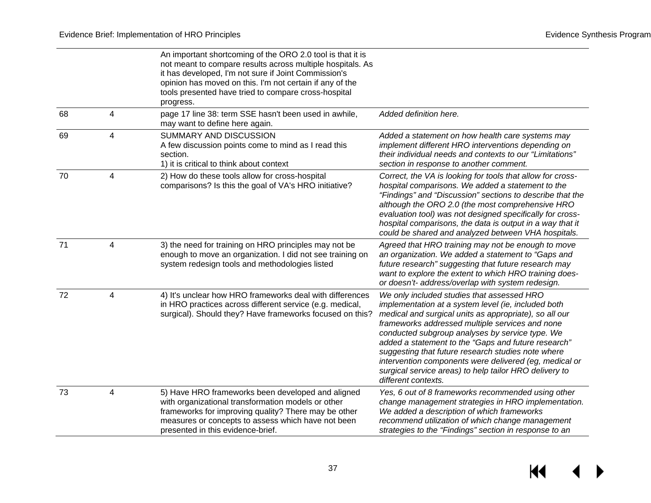$H$ 

|    |                | An important shortcoming of the ORO 2.0 tool is that it is<br>not meant to compare results across multiple hospitals. As<br>it has developed, I'm not sure if Joint Commission's<br>opinion has moved on this. I'm not certain if any of the<br>tools presented have tried to compare cross-hospital<br>progress. |                                                                                                                                                                                                                                                                                                                                                                                                                                                                                                                           |
|----|----------------|-------------------------------------------------------------------------------------------------------------------------------------------------------------------------------------------------------------------------------------------------------------------------------------------------------------------|---------------------------------------------------------------------------------------------------------------------------------------------------------------------------------------------------------------------------------------------------------------------------------------------------------------------------------------------------------------------------------------------------------------------------------------------------------------------------------------------------------------------------|
| 68 | 4              | page 17 line 38: term SSE hasn't been used in awhile,<br>may want to define here again.                                                                                                                                                                                                                           | Added definition here.                                                                                                                                                                                                                                                                                                                                                                                                                                                                                                    |
| 69 | 4              | SUMMARY AND DISCUSSION<br>A few discussion points come to mind as I read this<br>section.<br>1) it is critical to think about context                                                                                                                                                                             | Added a statement on how health care systems may<br>implement different HRO interventions depending on<br>their individual needs and contexts to our "Limitations"<br>section in response to another comment.                                                                                                                                                                                                                                                                                                             |
| 70 | 4              | 2) How do these tools allow for cross-hospital<br>comparisons? Is this the goal of VA's HRO initiative?                                                                                                                                                                                                           | Correct, the VA is looking for tools that allow for cross-<br>hospital comparisons. We added a statement to the<br>"Findings" and "Discussion" sections to describe that the<br>although the ORO 2.0 (the most comprehensive HRO<br>evaluation tool) was not designed specifically for cross-<br>hospital comparisons, the data is output in a way that it<br>could be shared and analyzed between VHA hospitals.                                                                                                         |
| 71 | 4              | 3) the need for training on HRO principles may not be<br>enough to move an organization. I did not see training on<br>system redesign tools and methodologies listed                                                                                                                                              | Agreed that HRO training may not be enough to move<br>an organization. We added a statement to "Gaps and<br>future research" suggesting that future research may<br>want to explore the extent to which HRO training does-<br>or doesn't- address/overlap with system redesign.                                                                                                                                                                                                                                           |
| 72 | 4              | 4) It's unclear how HRO frameworks deal with differences<br>in HRO practices across different service (e.g. medical,<br>surgical). Should they? Have frameworks focused on this?                                                                                                                                  | We only included studies that assessed HRO<br>implementation at a system level (ie, included both<br>medical and surgical units as appropriate), so all our<br>frameworks addressed multiple services and none<br>conducted subgroup analyses by service type. We<br>added a statement to the "Gaps and future research"<br>suggesting that future research studies note where<br>intervention components were delivered (eg, medical or<br>surgical service areas) to help tailor HRO delivery to<br>different contexts. |
| 73 | $\overline{4}$ | 5) Have HRO frameworks been developed and aligned<br>with organizational transformation models or other<br>frameworks for improving quality? There may be other<br>measures or concepts to assess which have not been<br>presented in this evidence-brief.                                                        | Yes, 6 out of 8 frameworks recommended using other<br>change management strategies in HRO implementation.<br>We added a description of which frameworks<br>recommend utilization of which change management<br>strategies to the "Findings" section in response to an                                                                                                                                                                                                                                                     |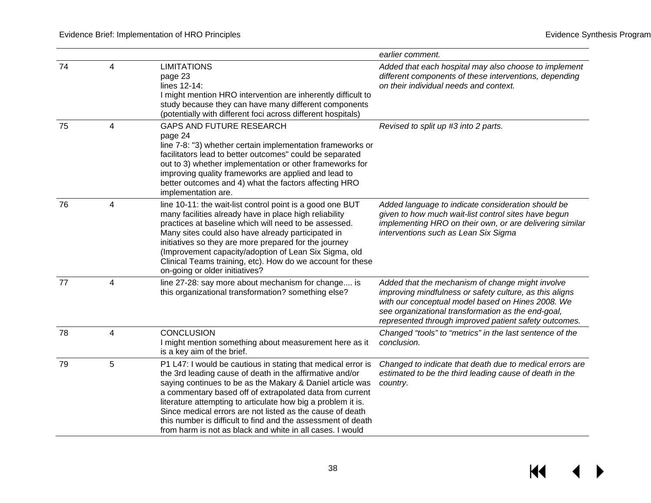$M \rightarrow$ 

|    |                         |                                                                                                                                                                                                                                                                                                                                                                                                                                                                                                             | earlier comment.                                                                                                                                                                                                                                                                |
|----|-------------------------|-------------------------------------------------------------------------------------------------------------------------------------------------------------------------------------------------------------------------------------------------------------------------------------------------------------------------------------------------------------------------------------------------------------------------------------------------------------------------------------------------------------|---------------------------------------------------------------------------------------------------------------------------------------------------------------------------------------------------------------------------------------------------------------------------------|
| 74 | 4                       | <b>LIMITATIONS</b><br>page 23<br>lines 12-14:<br>I might mention HRO intervention are inherently difficult to<br>study because they can have many different components<br>(potentially with different foci across different hospitals)                                                                                                                                                                                                                                                                      | Added that each hospital may also choose to implement<br>different components of these interventions, depending<br>on their individual needs and context.                                                                                                                       |
| 75 | 4                       | GAPS AND FUTURE RESEARCH<br>page 24<br>line 7-8: "3) whether certain implementation frameworks or<br>facilitators lead to better outcomes" could be separated<br>out to 3) whether implementation or other frameworks for<br>improving quality frameworks are applied and lead to<br>better outcomes and 4) what the factors affecting HRO<br>implementation are.                                                                                                                                           | Revised to split up #3 into 2 parts.                                                                                                                                                                                                                                            |
| 76 | 4                       | line 10-11: the wait-list control point is a good one BUT<br>many facilities already have in place high reliability<br>practices at baseline which will need to be assessed.<br>Many sites could also have already participated in<br>initiatives so they are more prepared for the journey<br>(Improvement capacity/adoption of Lean Six Sigma, old<br>Clinical Teams training, etc). How do we account for these<br>on-going or older initiatives?                                                        | Added language to indicate consideration should be<br>given to how much wait-list control sites have begun<br>implementing HRO on their own, or are delivering similar<br>interventions such as Lean Six Sigma                                                                  |
| 77 | $\overline{\mathbf{4}}$ | line 27-28: say more about mechanism for change is<br>this organizational transformation? something else?                                                                                                                                                                                                                                                                                                                                                                                                   | Added that the mechanism of change might involve<br>improving mindfulness or safety culture, as this aligns<br>with our conceptual model based on Hines 2008. We<br>see organizational transformation as the end-goal,<br>represented through improved patient safety outcomes. |
| 78 | $\overline{4}$          | <b>CONCLUSION</b><br>I might mention something about measurement here as it<br>is a key aim of the brief.                                                                                                                                                                                                                                                                                                                                                                                                   | Changed "tools" to "metrics" in the last sentence of the<br>conclusion.                                                                                                                                                                                                         |
| 79 | 5                       | P1 L47: I would be cautious in stating that medical error is<br>the 3rd leading cause of death in the affirmative and/or<br>saying continues to be as the Makary & Daniel article was<br>a commentary based off of extrapolated data from current<br>literature attempting to articulate how big a problem it is.<br>Since medical errors are not listed as the cause of death<br>this number is difficult to find and the assessment of death<br>from harm is not as black and white in all cases. I would | Changed to indicate that death due to medical errors are<br>estimated to be the third leading cause of death in the<br>country.                                                                                                                                                 |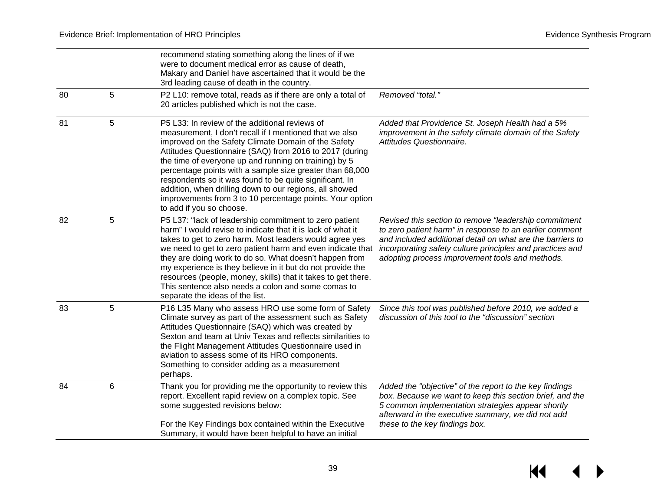$H$ 

|    |   | recommend stating something along the lines of if we<br>were to document medical error as cause of death,<br>Makary and Daniel have ascertained that it would be the<br>3rd leading cause of death in the country.                                                                                                                                                                                                                                                                                                                                             |                                                                                                                                                                                                                                                                                                |
|----|---|----------------------------------------------------------------------------------------------------------------------------------------------------------------------------------------------------------------------------------------------------------------------------------------------------------------------------------------------------------------------------------------------------------------------------------------------------------------------------------------------------------------------------------------------------------------|------------------------------------------------------------------------------------------------------------------------------------------------------------------------------------------------------------------------------------------------------------------------------------------------|
| 80 | 5 | P2 L10: remove total, reads as if there are only a total of<br>20 articles published which is not the case.                                                                                                                                                                                                                                                                                                                                                                                                                                                    | Removed "total."                                                                                                                                                                                                                                                                               |
| 81 | 5 | P5 L33: In review of the additional reviews of<br>measurement, I don't recall if I mentioned that we also<br>improved on the Safety Climate Domain of the Safety<br>Attitudes Questionnaire (SAQ) from 2016 to 2017 (during<br>the time of everyone up and running on training) by 5<br>percentage points with a sample size greater than 68,000<br>respondents so it was found to be quite significant. In<br>addition, when drilling down to our regions, all showed<br>improvements from 3 to 10 percentage points. Your option<br>to add if you so choose. | Added that Providence St. Joseph Health had a 5%<br>improvement in the safety climate domain of the Safety<br>Attitudes Questionnaire.                                                                                                                                                         |
| 82 | 5 | P5 L37: "lack of leadership commitment to zero patient<br>harm" I would revise to indicate that it is lack of what it<br>takes to get to zero harm. Most leaders would agree yes<br>we need to get to zero patient harm and even indicate that<br>they are doing work to do so. What doesn't happen from<br>my experience is they believe in it but do not provide the<br>resources (people, money, skills) that it takes to get there.<br>This sentence also needs a colon and some comas to<br>separate the ideas of the list.                               | Revised this section to remove "leadership commitment<br>to zero patient harm" in response to an earlier comment<br>and included additional detail on what are the barriers to<br>incorporating safety culture principles and practices and<br>adopting process improvement tools and methods. |
| 83 | 5 | P16 L35 Many who assess HRO use some form of Safety<br>Climate survey as part of the assessment such as Safety<br>Attitudes Questionnaire (SAQ) which was created by<br>Sexton and team at Univ Texas and reflects similarities to<br>the Flight Management Attitudes Questionnaire used in<br>aviation to assess some of its HRO components.<br>Something to consider adding as a measurement<br>perhaps.                                                                                                                                                     | Since this tool was published before 2010, we added a<br>discussion of this tool to the "discussion" section                                                                                                                                                                                   |
| 84 | 6 | Thank you for providing me the opportunity to review this<br>report. Excellent rapid review on a complex topic. See<br>some suggested revisions below:<br>For the Key Findings box contained within the Executive<br>Summary, it would have been helpful to have an initial                                                                                                                                                                                                                                                                                    | Added the "objective" of the report to the key findings<br>box. Because we want to keep this section brief, and the<br>5 common implementation strategies appear shortly<br>afterward in the executive summary, we did not add<br>these to the key findings box.                               |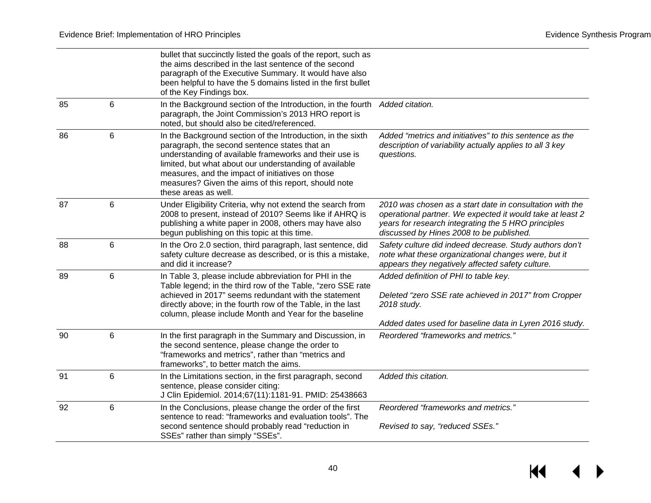$H$ 

|    |                | bullet that succinctly listed the goals of the report, such as<br>the aims described in the last sentence of the second<br>paragraph of the Executive Summary. It would have also<br>been helpful to have the 5 domains listed in the first bullet<br>of the Key Findings box.                                                                                       |                                                                                                                                                                                                                          |
|----|----------------|----------------------------------------------------------------------------------------------------------------------------------------------------------------------------------------------------------------------------------------------------------------------------------------------------------------------------------------------------------------------|--------------------------------------------------------------------------------------------------------------------------------------------------------------------------------------------------------------------------|
| 85 | 6              | In the Background section of the Introduction, in the fourth<br>paragraph, the Joint Commission's 2013 HRO report is<br>noted, but should also be cited/referenced.                                                                                                                                                                                                  | Added citation.                                                                                                                                                                                                          |
| 86 | 6              | In the Background section of the Introduction, in the sixth<br>paragraph, the second sentence states that an<br>understanding of available frameworks and their use is<br>limited, but what about our understanding of available<br>measures, and the impact of initiatives on those<br>measures? Given the aims of this report, should note<br>these areas as well. | Added "metrics and initiatives" to this sentence as the<br>description of variability actually applies to all 3 key<br>questions.                                                                                        |
| 87 | 6              | Under Eligibility Criteria, why not extend the search from<br>2008 to present, instead of 2010? Seems like if AHRQ is<br>publishing a white paper in 2008, others may have also<br>begun publishing on this topic at this time.                                                                                                                                      | 2010 was chosen as a start date in consultation with the<br>operational partner. We expected it would take at least 2<br>years for research integrating the 5 HRO principles<br>discussed by Hines 2008 to be published. |
| 88 | 6              | In the Oro 2.0 section, third paragraph, last sentence, did<br>safety culture decrease as described, or is this a mistake,<br>and did it increase?                                                                                                                                                                                                                   | Safety culture did indeed decrease. Study authors don't<br>note what these organizational changes were, but it<br>appears they negatively affected safety culture.                                                       |
| 89 | 6              | In Table 3, please include abbreviation for PHI in the<br>Table legend; in the third row of the Table, "zero SSE rate<br>achieved in 2017" seems redundant with the statement<br>directly above; in the fourth row of the Table, in the last<br>column, please include Month and Year for the baseline                                                               | Added definition of PHI to table key.<br>Deleted "zero SSE rate achieved in 2017" from Cropper<br>2018 study.<br>Added dates used for baseline data in Lyren 2016 study.                                                 |
| 90 | $6\phantom{1}$ | In the first paragraph in the Summary and Discussion, in<br>the second sentence, please change the order to<br>"frameworks and metrics", rather than "metrics and<br>frameworks", to better match the aims.                                                                                                                                                          | Reordered "frameworks and metrics."                                                                                                                                                                                      |
| 91 | 6              | In the Limitations section, in the first paragraph, second<br>sentence, please consider citing:<br>J Clin Epidemiol. 2014;67(11):1181-91. PMID: 25438663                                                                                                                                                                                                             | Added this citation.                                                                                                                                                                                                     |
| 92 | 6              | In the Conclusions, please change the order of the first<br>sentence to read: "frameworks and evaluation tools". The<br>second sentence should probably read "reduction in<br>SSEs" rather than simply "SSEs".                                                                                                                                                       | Reordered "frameworks and metrics."<br>Revised to say, "reduced SSEs."                                                                                                                                                   |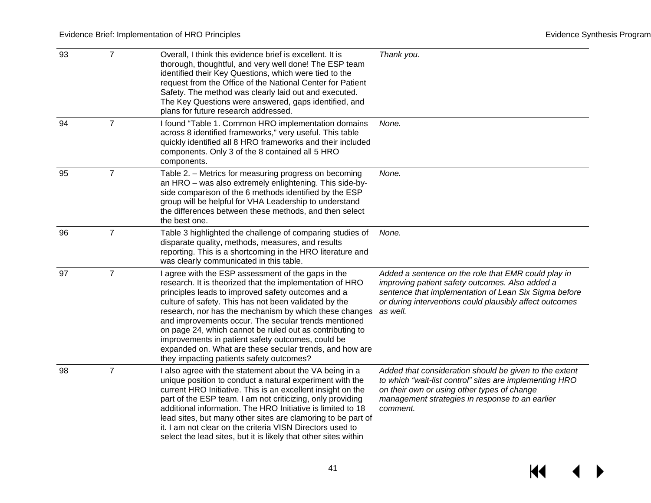$M$ 

| 93 | $\overline{7}$ | Overall, I think this evidence brief is excellent. It is<br>thorough, thoughtful, and very well done! The ESP team<br>identified their Key Questions, which were tied to the<br>request from the Office of the National Center for Patient<br>Safety. The method was clearly laid out and executed.<br>The Key Questions were answered, gaps identified, and<br>plans for future research addressed.                                                                                                                                                                    | Thank you.                                                                                                                                                                                                                             |
|----|----------------|-------------------------------------------------------------------------------------------------------------------------------------------------------------------------------------------------------------------------------------------------------------------------------------------------------------------------------------------------------------------------------------------------------------------------------------------------------------------------------------------------------------------------------------------------------------------------|----------------------------------------------------------------------------------------------------------------------------------------------------------------------------------------------------------------------------------------|
| 94 | $\overline{7}$ | I found "Table 1. Common HRO implementation domains<br>across 8 identified frameworks," very useful. This table<br>quickly identified all 8 HRO frameworks and their included<br>components. Only 3 of the 8 contained all 5 HRO<br>components.                                                                                                                                                                                                                                                                                                                         | None.                                                                                                                                                                                                                                  |
| 95 | $\overline{7}$ | Table 2. - Metrics for measuring progress on becoming<br>an HRO - was also extremely enlightening. This side-by-<br>side comparison of the 6 methods identified by the ESP<br>group will be helpful for VHA Leadership to understand<br>the differences between these methods, and then select<br>the best one.                                                                                                                                                                                                                                                         | None.                                                                                                                                                                                                                                  |
| 96 | $\overline{7}$ | Table 3 highlighted the challenge of comparing studies of<br>disparate quality, methods, measures, and results<br>reporting. This is a shortcoming in the HRO literature and<br>was clearly communicated in this table.                                                                                                                                                                                                                                                                                                                                                 | None.                                                                                                                                                                                                                                  |
| 97 | $\overline{7}$ | I agree with the ESP assessment of the gaps in the<br>research. It is theorized that the implementation of HRO<br>principles leads to improved safety outcomes and a<br>culture of safety. This has not been validated by the<br>research, nor has the mechanism by which these changes<br>and improvements occur. The secular trends mentioned<br>on page 24, which cannot be ruled out as contributing to<br>improvements in patient safety outcomes, could be<br>expanded on. What are these secular trends, and how are<br>they impacting patients safety outcomes? | Added a sentence on the role that EMR could play in<br>improving patient safety outcomes. Also added a<br>sentence that implementation of Lean Six Sigma before<br>or during interventions could plausibly affect outcomes<br>as well. |
| 98 | $\overline{7}$ | I also agree with the statement about the VA being in a<br>unique position to conduct a natural experiment with the<br>current HRO Initiative. This is an excellent insight on the<br>part of the ESP team. I am not criticizing, only providing<br>additional information. The HRO Initiative is limited to 18<br>lead sites, but many other sites are clamoring to be part of<br>it. I am not clear on the criteria VISN Directors used to<br>select the lead sites, but it is likely that other sites within                                                         | Added that consideration should be given to the extent<br>to which "wait-list control" sites are implementing HRO<br>on their own or using other types of change<br>management strategies in response to an earlier<br>comment.        |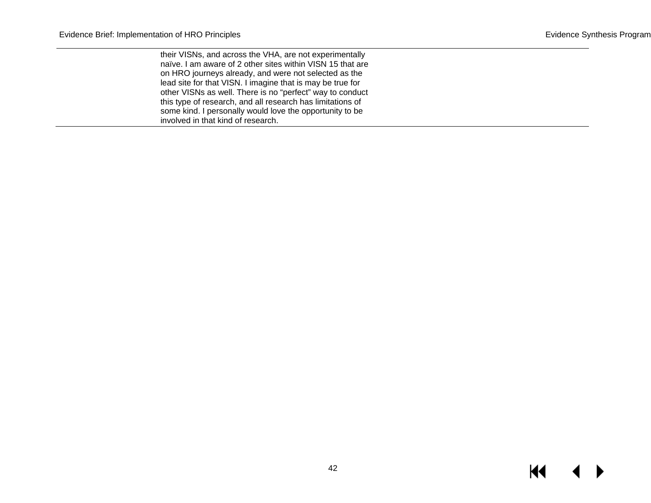their VISNs, and across the VHA, are not experimentally naïve. I am aware of 2 other sites within VISN 15 that are on HRO journeys already, and were not selected as the lead site for that VISN. I imagine that is may be true for other VISNs as well. There is no "perfect" way to conduct this type of research, and all research has limitations of some kind. I personally would love the opportunity to be involved in that kind of research.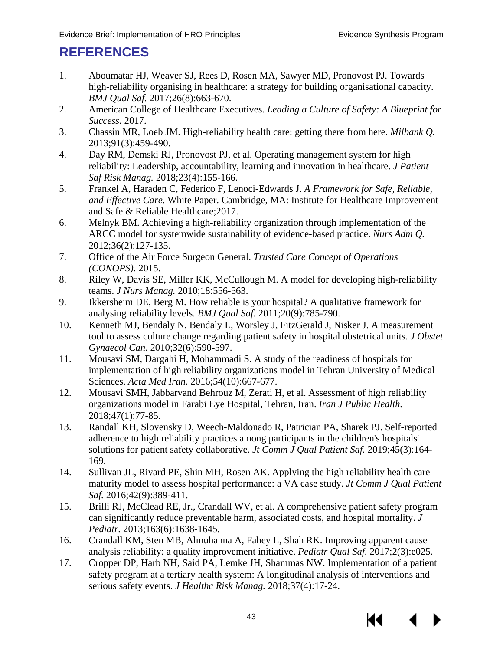## <span id="page-44-4"></span><span id="page-44-3"></span><span id="page-44-2"></span><span id="page-44-1"></span><span id="page-44-0"></span>**REFERENCES**

- <span id="page-44-5"></span>1. Aboumatar HJ, Weaver SJ, Rees D, Rosen MA, Sawyer MD, Pronovost PJ. Towards high-reliability organising in healthcare: a strategy for building organisational capacity. *BMJ Qual Saf.* 2017;26(8):663-670.
- <span id="page-44-6"></span>2. American College of Healthcare Executives. *Leading a Culture of Safety: A Blueprint for Success.* 2017.
- <span id="page-44-7"></span>3. Chassin MR, Loeb JM. High-reliability health care: getting there from here. *Milbank Q.*  2013;91(3):459-490.
- <span id="page-44-8"></span>4. Day RM, Demski RJ, Pronovost PJ, et al. Operating management system for high reliability: Leadership, accountability, learning and innovation in healthcare. *J Patient Saf Risk Manag.* 2018;23(4):155-166.
- <span id="page-44-9"></span>5. Frankel A, Haraden C, Federico F, Lenoci-Edwards J. *A Framework for Safe, Reliable, and Effective Care.* White Paper. Cambridge, MA: Institute for Healthcare Improvement and Safe & Reliable Healthcare;2017.
- <span id="page-44-10"></span>6. Melnyk BM. Achieving a high-reliability organization through implementation of the ARCC model for systemwide sustainability of evidence-based practice. *Nurs Adm Q.*  2012;36(2):127-135.
- <span id="page-44-11"></span>7. Office of the Air Force Surgeon General. *Trusted Care Concept of Operations (CONOPS).* 2015.
- <span id="page-44-12"></span>8. Riley W, Davis SE, Miller KK, McCullough M. A model for developing high-reliability teams. *J Nurs Manag.* 2010;18:556-563.
- 9. Ikkersheim DE, Berg M. How reliable is your hospital? A qualitative framework for analysing reliability levels. *BMJ Qual Saf.* 2011;20(9):785-790.
- <span id="page-44-13"></span>10. Kenneth MJ, Bendaly N, Bendaly L, Worsley J, FitzGerald J, Nisker J. A measurement tool to assess culture change regarding patient safety in hospital obstetrical units. *J Obstet Gynaecol Can.* 2010;32(6):590-597.
- <span id="page-44-14"></span>11. Mousavi SM, Dargahi H, Mohammadi S. A study of the readiness of hospitals for implementation of high reliability organizations model in Tehran University of Medical Sciences. *Acta Med Iran.* 2016;54(10):667-677.
- <span id="page-44-15"></span>12. Mousavi SMH, Jabbarvand Behrouz M, Zerati H, et al. Assessment of high reliability organizations model in Farabi Eye Hospital, Tehran, Iran. *Iran J Public Health.*  2018;47(1):77-85.
- <span id="page-44-16"></span>13. Randall KH, Slovensky D, Weech-Maldonado R, Patrician PA, Sharek PJ. Self-reported adherence to high reliability practices among participants in the children's hospitals' solutions for patient safety collaborative. *Jt Comm J Qual Patient Saf.* 2019;45(3):164- 169.
- 14. Sullivan JL, Rivard PE, Shin MH, Rosen AK. Applying the high reliability health care maturity model to assess hospital performance: a VA case study. *Jt Comm J Qual Patient Saf.* 2016;42(9):389-411.
- 15. Brilli RJ, McClead RE, Jr., Crandall WV, et al. A comprehensive patient safety program can significantly reduce preventable harm, associated costs, and hospital mortality. *J Pediatr.* 2013;163(6):1638-1645.
- 16. Crandall KM, Sten MB, Almuhanna A, Fahey L, Shah RK. Improving apparent cause analysis reliability: a quality improvement initiative. *Pediatr Qual Saf.* 2017;2(3):e025.
- 17. Cropper DP, Harb NH, Said PA, Lemke JH, Shammas NW. Implementation of a patient safety program at a tertiary health system: A longitudinal analysis of interventions and serious safety events. *J Healthc Risk Manag.* 2018;37(4):17-24.